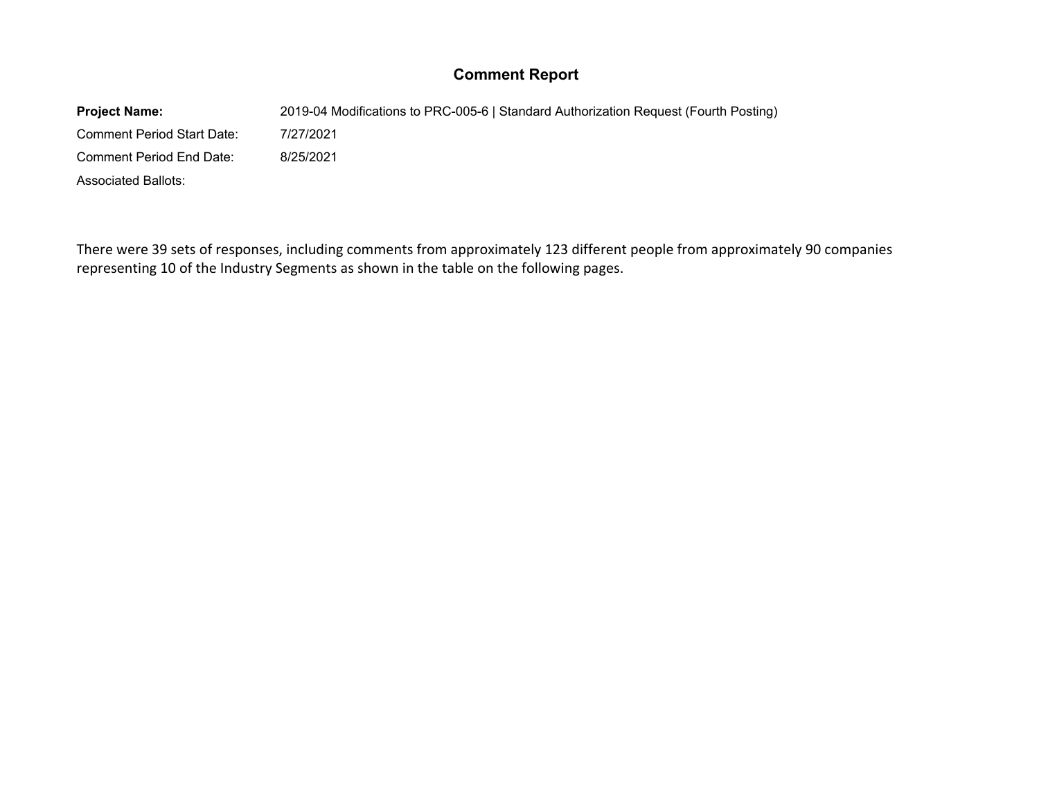# **Comment Report**

**Project Name:** 2019-04 Modifications to PRC-005-6 | Standard Authorization Request (Fourth Posting) Comment Period Start Date: 7/27/2021 Comment Period End Date: 8/25/2021 Associated Ballots:

There were 39 sets of responses, including comments from approximately 123 different people from approximately 90 companies representing 10 of the Industry Segments as shown in the table on the following pages.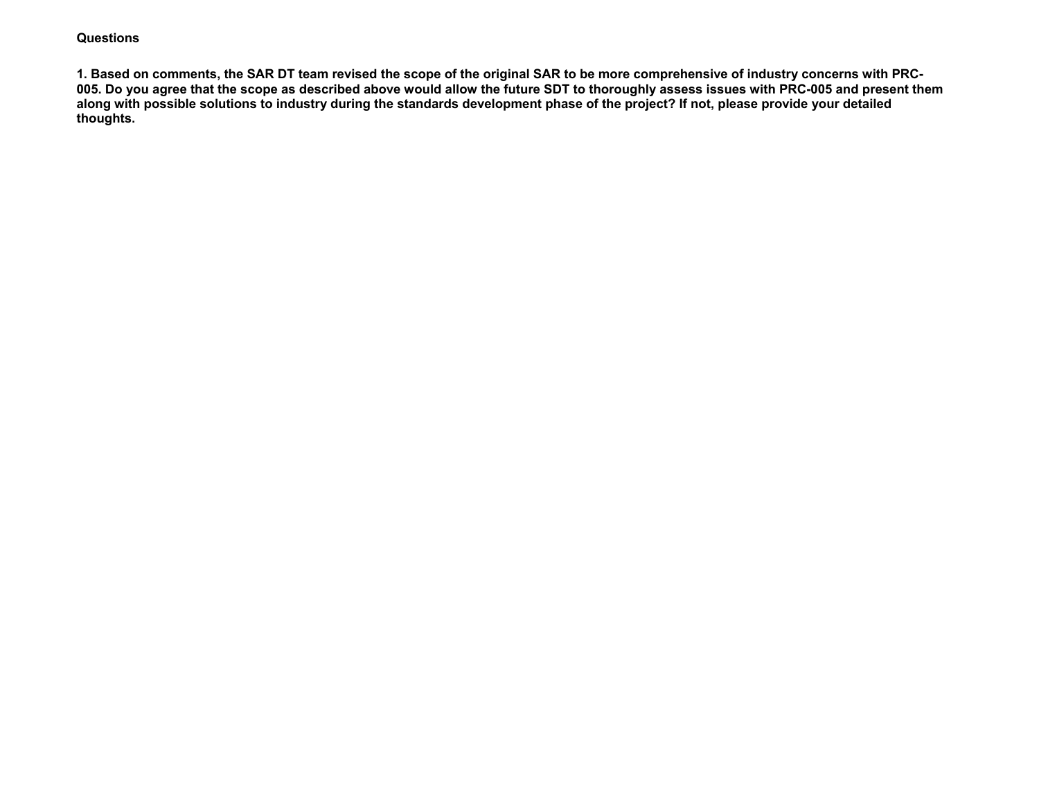## **Questions**

**1. Based on comments, the SAR DT team revised the scope of the original SAR to be more comprehensive of industry concerns with PRC-005. Do you agree that the scope as described above would allow the future SDT to thoroughly assess issues with PRC-005 and present them along with possible solutions to industry during the standards development phase of the project? If not, please provide your detailed thoughts.**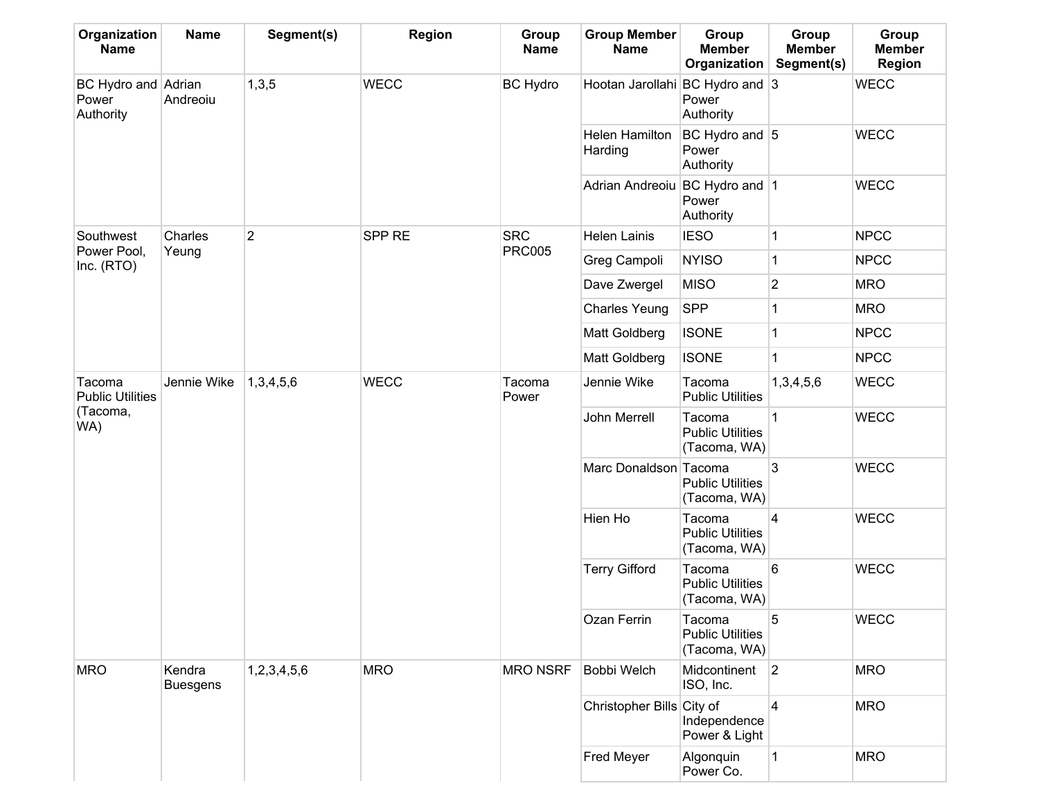| Organization<br><b>Name</b>               | <b>Name</b>               | Segment(s)     | <b>Region</b> | Group<br><b>Name</b>        | <b>Group Member</b><br><b>Name</b> | Group<br><b>Member</b><br>Organization            | Group<br><b>Member</b><br>Segment(s) | Group<br><b>Member</b><br><b>Region</b> |
|-------------------------------------------|---------------------------|----------------|---------------|-----------------------------|------------------------------------|---------------------------------------------------|--------------------------------------|-----------------------------------------|
| BC Hydro and Adrian<br>Power<br>Authority | Andreoiu                  | 1,3,5          | <b>WECC</b>   | <b>BC Hydro</b>             | Hootan Jarollahi                   | $ BC$ Hydro and $ 3$<br>Power<br>Authority        |                                      | <b>WECC</b>                             |
|                                           |                           |                |               |                             | Helen Hamilton<br>Harding          | BC Hydro and $ 5$<br>Power<br>Authority           |                                      | <b>WECC</b>                             |
|                                           |                           |                |               |                             | Adrian Andreoiu                    | BC Hydro and 1<br>Power<br>Authority              |                                      | <b>WECC</b>                             |
| Southwest                                 | Charles                   | $\overline{2}$ | <b>SPP RE</b> | <b>SRC</b><br><b>PRC005</b> | Helen Lainis                       | <b>IESO</b>                                       | $\mathbf{1}$                         | <b>NPCC</b>                             |
| Power Pool,<br>Inc. (RTO)                 | Yeung                     |                |               |                             | Greg Campoli                       | <b>NYISO</b>                                      | $\mathbf 1$                          | <b>NPCC</b>                             |
|                                           |                           |                |               |                             | Dave Zwergel                       | <b>MISO</b>                                       | $ 2\rangle$                          | <b>MRO</b>                              |
|                                           |                           |                |               |                             | <b>Charles Yeung</b>               | <b>SPP</b>                                        | 1                                    | <b>MRO</b>                              |
|                                           |                           |                |               |                             | Matt Goldberg                      | <b>ISONE</b>                                      | $\mathbf 1$                          | <b>NPCC</b>                             |
|                                           |                           |                |               |                             | Matt Goldberg                      | <b>ISONE</b>                                      | $\mathbf{1}$                         | <b>NPCC</b>                             |
| Tacoma<br><b>Public Utilities</b>         | Jennie Wike               | 1,3,4,5,6      | <b>WECC</b>   | Tacoma<br>Power             | Jennie Wike                        | Tacoma<br><b>Public Utilities</b>                 | 1,3,4,5,6                            | <b>WECC</b>                             |
| (Tacoma,<br>WA)                           |                           |                |               |                             | John Merrell                       | Tacoma<br><b>Public Utilities</b><br>(Tacoma, WA) | $\mathbf{1}$                         | <b>WECC</b>                             |
|                                           |                           |                |               |                             | Marc Donaldson                     | Tacoma<br><b>Public Utilities</b><br>(Tacoma, WA) | 3                                    | <b>WECC</b>                             |
|                                           |                           |                |               |                             | Hien Ho                            | Tacoma<br><b>Public Utilities</b><br>(Tacoma, WA) | $\overline{4}$                       | <b>WECC</b>                             |
|                                           |                           |                |               |                             | <b>Terry Gifford</b>               | Tacoma<br><b>Public Utilities</b><br>(Tacoma, WA) | $6\phantom{a}$                       | <b>WECC</b>                             |
|                                           |                           |                |               |                             | Ozan Ferrin                        | Tacoma<br><b>Public Utilities</b><br>(Tacoma, WA) | 5                                    | <b>WECC</b>                             |
| <b>MRO</b>                                | Kendra<br><b>Buesgens</b> | 1,2,3,4,5,6    | <b>MRO</b>    | <b>MRO NSRF</b>             | Bobbi Welch                        | Midcontinent<br>ISO, Inc.                         | 2                                    | <b>MRO</b>                              |
|                                           |                           |                |               |                             | Christopher Bills City of          | Independence<br>Power & Light                     | $\overline{4}$                       | <b>MRO</b>                              |
|                                           |                           |                |               |                             | <b>Fred Meyer</b>                  | Algonquin<br>Power Co.                            | $\mathbf{1}$                         | <b>MRO</b>                              |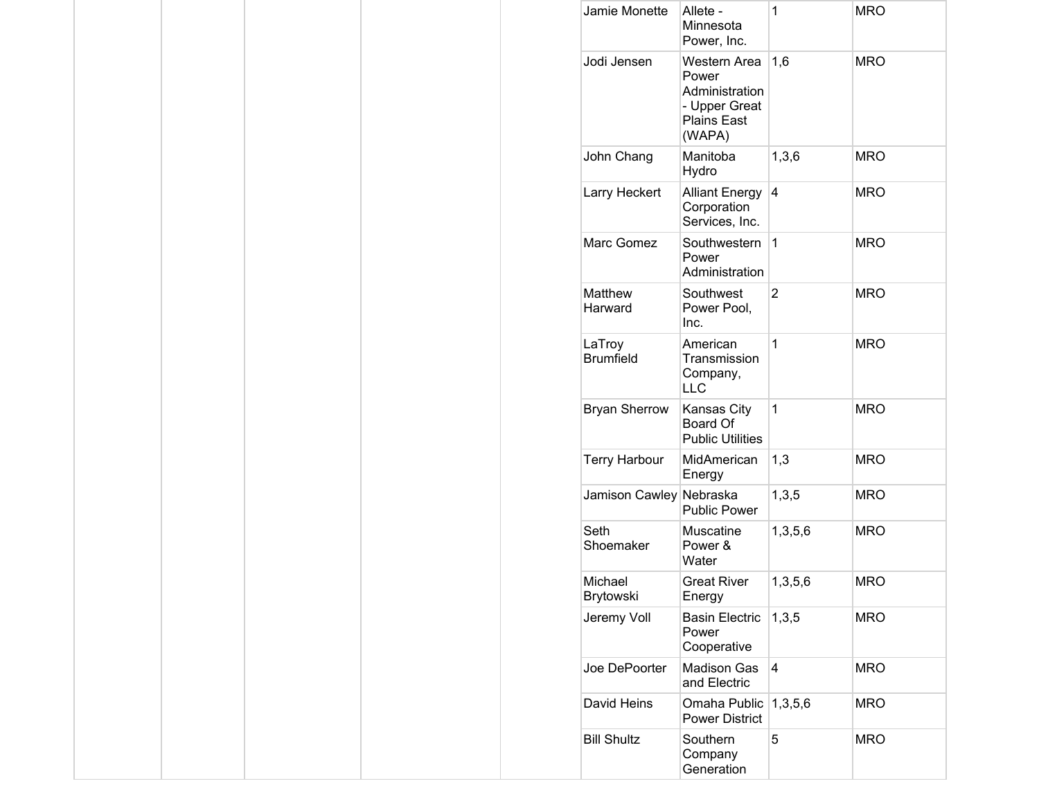| Jamie Monette              | Allete -<br>Minnesota<br>Power, Inc.                                                     | $\mathbf{1}$   | <b>MRO</b> |
|----------------------------|------------------------------------------------------------------------------------------|----------------|------------|
| Jodi Jensen                | Western Area<br>Power<br>Administration<br>- Upper Great<br><b>Plains East</b><br>(WAPA) | 1,6            | <b>MRO</b> |
| John Chang                 | Manitoba<br>Hydro                                                                        | 1,3,6          | <b>MRO</b> |
| Larry Heckert              | <b>Alliant Energy</b><br>Corporation<br>Services, Inc.                                   | $\overline{4}$ | <b>MRO</b> |
| Marc Gomez                 | Southwestern<br>Power<br>Administration                                                  | $\mathbf{1}$   | <b>MRO</b> |
| Matthew<br>Harward         | Southwest<br>Power Pool,<br>Inc.                                                         | 2              | <b>MRO</b> |
| LaTroy<br><b>Brumfield</b> | American<br>Transmission<br>Company,<br><b>LLC</b>                                       | 1              | <b>MRO</b> |
| <b>Bryan Sherrow</b>       | Kansas City<br><b>Board Of</b><br><b>Public Utilities</b>                                | $\mathbf{1}$   | <b>MRO</b> |
| <b>Terry Harbour</b>       | MidAmerican<br>Energy                                                                    | 1,3            | <b>MRO</b> |
| Jamison Cawley Nebraska    | <b>Public Power</b>                                                                      | 1,3,5          | <b>MRO</b> |
| Seth<br>Shoemaker          | Muscatine<br>Power &<br>Water                                                            | 1,3,5,6        | <b>MRO</b> |
| Michael<br>Brytowski       | <b>Great River</b><br>Energy                                                             | 1,3,5,6        | <b>MRO</b> |
| Jeremy Voll                | <b>Basin Electric</b><br>Power<br>Cooperative                                            | 1,3,5          | <b>MRO</b> |
| Joe DePoorter              | <b>Madison Gas</b><br>and Electric                                                       | 4              | <b>MRO</b> |
| David Heins                | Omaha Public<br><b>Power District</b>                                                    | 1,3,5,6        | <b>MRO</b> |
| <b>Bill Shultz</b>         | Southern<br>Company<br>Generation                                                        | 5              | <b>MRO</b> |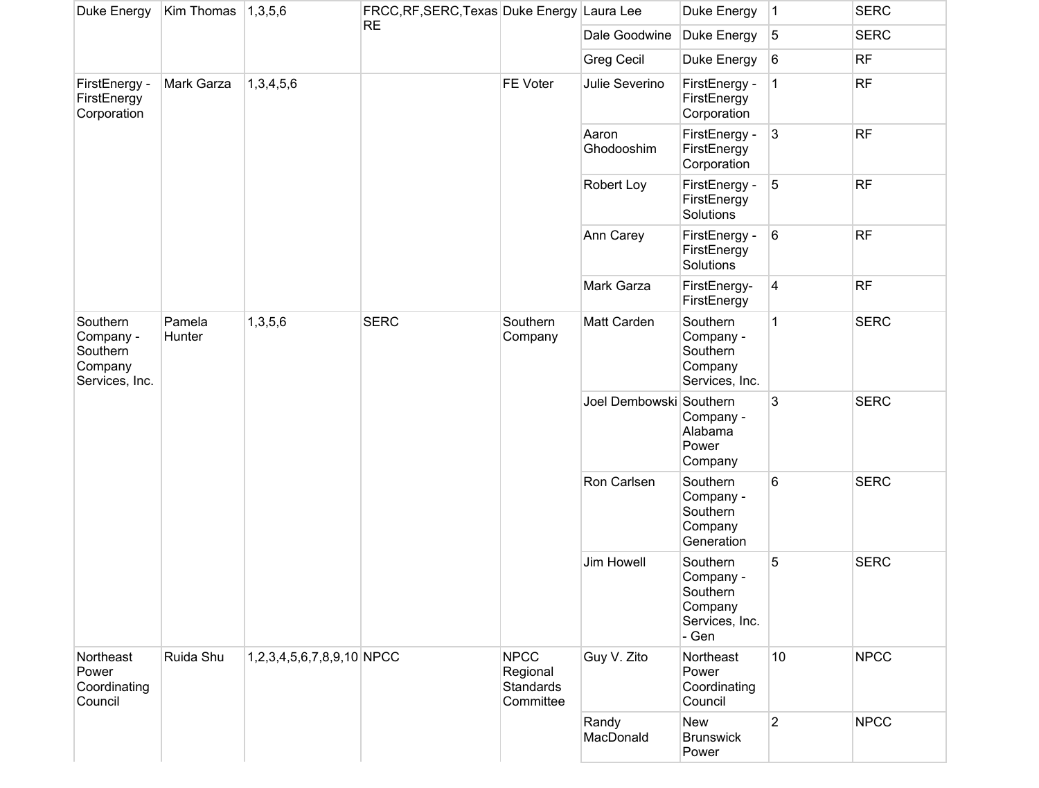| Duke Energy<br>Kim Thomas $ 1,3,5,6$                           |                  | FRCC, RF, SERC, Texas Duke Energy Laura Lee |             |                                                          | Duke Energy         | $ 1\rangle$                                                             | <b>SERC</b> |             |
|----------------------------------------------------------------|------------------|---------------------------------------------|-------------|----------------------------------------------------------|---------------------|-------------------------------------------------------------------------|-------------|-------------|
|                                                                |                  |                                             | <b>RE</b>   |                                                          | Dale Goodwine       | Duke Energy                                                             | 5           | <b>SERC</b> |
|                                                                |                  |                                             |             |                                                          | Greg Cecil          | Duke Energy                                                             | 6           | RF          |
| FirstEnergy -<br>FirstEnergy<br>Corporation                    | Mark Garza       | 1,3,4,5,6                                   |             | FE Voter                                                 | Julie Severino      | FirstEnergy -<br>FirstEnergy<br>Corporation                             | $\mathbf 1$ | RF          |
|                                                                |                  |                                             |             |                                                          | Aaron<br>Ghodooshim | FirstEnergy -<br>FirstEnergy<br>Corporation                             | 3           | RF          |
|                                                                |                  |                                             |             |                                                          | Robert Loy          | FirstEnergy -<br>FirstEnergy<br>Solutions                               | 5           | <b>RF</b>   |
|                                                                |                  |                                             |             |                                                          | Ann Carey           | FirstEnergy -<br>FirstEnergy<br><b>Solutions</b>                        | 6           | <b>RF</b>   |
|                                                                |                  |                                             |             |                                                          | Mark Garza          | FirstEnergy-<br>FirstEnergy                                             | 4           | RF          |
| Southern<br>Company -<br>Southern<br>Company<br>Services, Inc. | Pamela<br>Hunter | 1,3,5,6                                     | <b>SERC</b> | Southern<br>Company                                      | Matt Carden         | Southern<br>Company -<br>Southern<br>Company<br>Services, Inc.          | 1           | <b>SERC</b> |
|                                                                |                  |                                             |             |                                                          | Joel Dembowski      | Southern<br>Company -<br>Alabama<br>Power<br>Company                    | 3           | <b>SERC</b> |
|                                                                |                  |                                             |             |                                                          | Ron Carlsen         | Southern<br>Company -<br>Southern<br>Company<br>Generation              | 6           | <b>SERC</b> |
|                                                                |                  |                                             |             |                                                          | Jim Howell          | Southern<br>Company -<br>Southern<br>Company<br>Services, Inc.<br>- Gen | 5           | <b>SERC</b> |
| Northeast<br>Power<br>Coordinating<br>Council                  | Ruida Shu        | 1,2,3,4,5,6,7,8,9,10 NPCC                   |             | <b>NPCC</b><br>Regional<br><b>Standards</b><br>Committee | Guy V. Zito         | Northeast<br>Power<br>Coordinating<br>Council                           | 10          | <b>NPCC</b> |
|                                                                |                  |                                             |             |                                                          | Randy<br>MacDonald  | <b>New</b><br><b>Brunswick</b><br>Power                                 | $ 2\rangle$ | <b>NPCC</b> |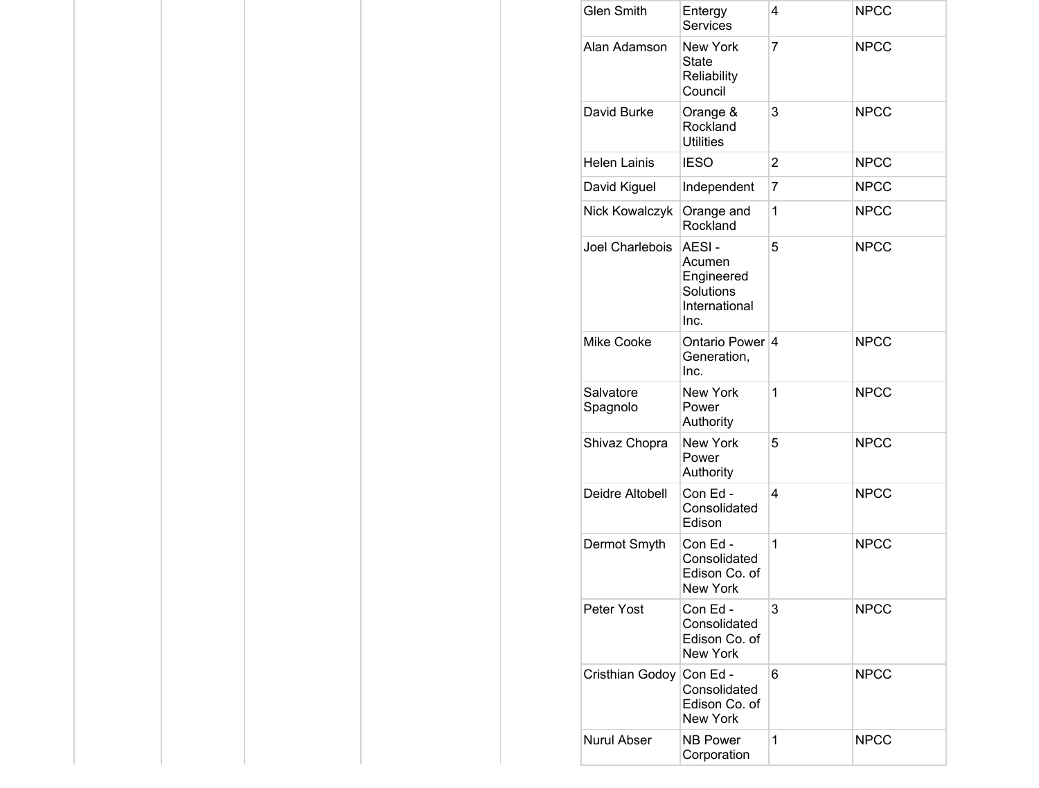| <b>Glen Smith</b>     | Entergy<br><b>Services</b>                                          | 4 | <b>NPCC</b> |
|-----------------------|---------------------------------------------------------------------|---|-------------|
| Alan Adamson          | <b>New York</b><br>State<br>Reliability<br>Council                  | 7 | <b>NPCC</b> |
| David Burke           | Orange &<br>Rockland<br><b>Utilities</b>                            | 3 | <b>NPCC</b> |
| <b>Helen Lainis</b>   | <b>IESO</b>                                                         | 2 | <b>NPCC</b> |
| David Kiguel          | Independent                                                         | 7 | <b>NPCC</b> |
| Nick Kowalczyk        | Orange and<br>Rockland                                              | 1 | <b>NPCC</b> |
| Joel Charlebois       | AESI-<br>Acumen<br>Engineered<br>Solutions<br>International<br>Inc. | 5 | <b>NPCC</b> |
| <b>Mike Cooke</b>     | Ontario Power 4<br>Generation,<br>Inc.                              |   | <b>NPCC</b> |
| Salvatore<br>Spagnolo | New York<br>Power<br>Authority                                      | 1 | <b>NPCC</b> |
| Shivaz Chopra         | <b>New York</b><br>Power<br>Authority                               | 5 | <b>NPCC</b> |
| Deidre Altobell       | Con Ed-<br>Consolidated<br>Edison                                   | 4 | <b>NPCC</b> |
| Dermot Smyth          | Con Ed -<br>Consolidated<br>Edison Co. of<br>New York               | 1 | <b>NPCC</b> |
| Peter Yost            | Con Ed -<br>Consolidated<br>Edison Co. of<br><b>New York</b>        | 3 | <b>NPCC</b> |
| Cristhian Godoy       | Con Ed-<br>Consolidated<br>Edison Co. of<br><b>New York</b>         | 6 | <b>NPCC</b> |
| <b>Nurul Abser</b>    | <b>NB Power</b><br>Corporation                                      | 1 | <b>NPCC</b> |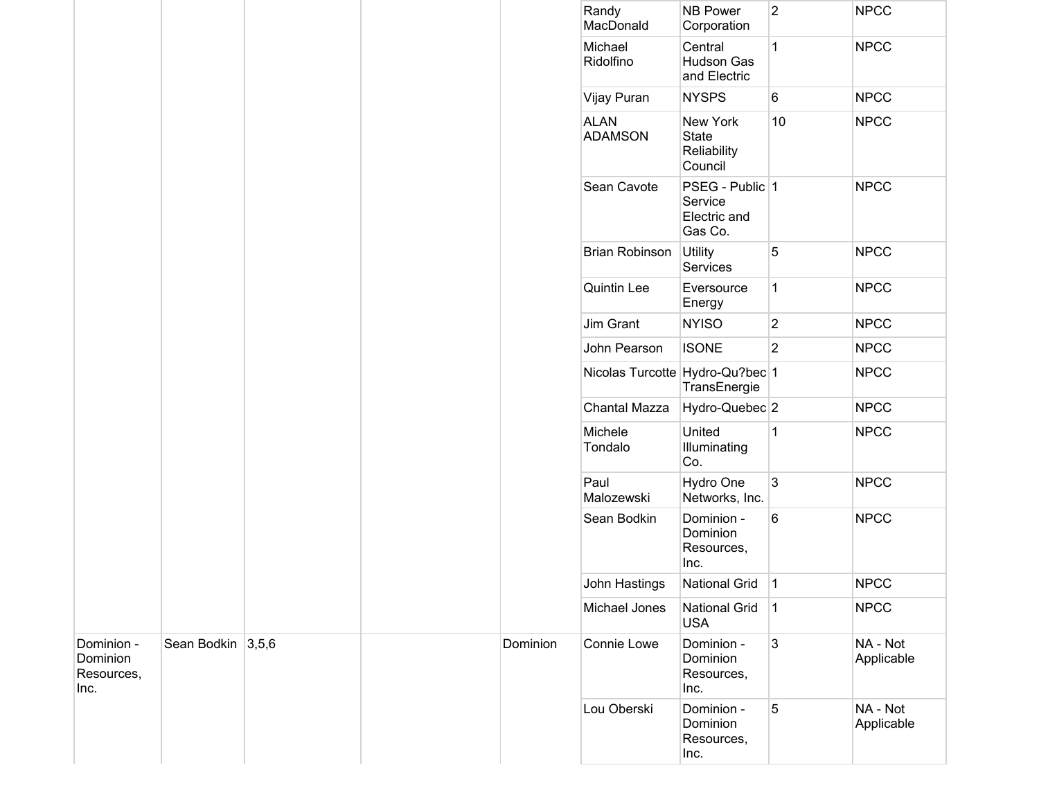|                                              |                   |              |              | Randy<br>MacDonald              | <b>NB Power</b><br>Corporation                        | $\overline{2}$  | <b>NPCC</b>            |
|----------------------------------------------|-------------------|--------------|--------------|---------------------------------|-------------------------------------------------------|-----------------|------------------------|
|                                              |                   |              |              | Michael<br>Ridolfino            | Central<br><b>Hudson Gas</b><br>and Electric          | $\mathbf{1}$    | <b>NPCC</b>            |
|                                              |                   |              |              | Vijay Puran                     | <b>NYSPS</b>                                          | 6               | <b>NPCC</b>            |
|                                              |                   |              |              | <b>ALAN</b><br><b>ADAMSON</b>   | New York<br>State<br>Reliability<br>Council           | 10              | <b>NPCC</b>            |
|                                              |                   |              |              | Sean Cavote                     | PSEG - Public 1<br>Service<br>Electric and<br>Gas Co. |                 | <b>NPCC</b>            |
|                                              |                   |              |              | <b>Brian Robinson</b>           | <b>Utility</b><br>Services                            | 5               | <b>NPCC</b>            |
|                                              |                   |              |              | <b>Quintin Lee</b>              | Eversource<br>Energy                                  | $\mathbf 1$     | <b>NPCC</b>            |
|                                              |                   |              |              | Jim Grant                       | <b>NYISO</b>                                          | $\overline{2}$  | <b>NPCC</b>            |
|                                              |                   | John Pearson | <b>ISONE</b> | $\overline{2}$                  | <b>NPCC</b>                                           |                 |                        |
|                                              |                   |              |              | Nicolas Turcotte Hydro-Qu?bec 1 | TransEnergie                                          |                 | <b>NPCC</b>            |
|                                              |                   |              |              | Chantal Mazza                   | Hydro-Quebec 2                                        |                 | <b>NPCC</b>            |
|                                              |                   |              |              | Michele<br>Tondalo              | United<br>Illuminating<br>Co.                         | $\mathbf{1}$    | <b>NPCC</b>            |
|                                              |                   |              |              | Paul<br>Malozewski              | Hydro One<br>Networks, Inc.                           | $\overline{3}$  | <b>NPCC</b>            |
|                                              |                   |              |              | Sean Bodkin                     | Dominion -<br>Dominion<br>Resources,<br>Inc.          | $6\phantom{.}6$ | <b>NPCC</b>            |
|                                              |                   |              |              | John Hastings                   | National Grid                                         | $\vert$ 1       | <b>NPCC</b>            |
|                                              |                   |              |              | Michael Jones                   | <b>National Grid</b><br><b>USA</b>                    | $\mathbf 1$     | <b>NPCC</b>            |
| Dominion -<br>Dominion<br>Resources,<br>Inc. | Sean Bodkin 3,5,6 |              | Dominion     | Connie Lowe                     | Dominion -<br>Dominion<br>Resources,<br>Inc.          | $\overline{3}$  | NA - Not<br>Applicable |
|                                              |                   |              |              | Lou Oberski                     | Dominion -<br>Dominion<br>Resources,<br>Inc.          | 5               | NA - Not<br>Applicable |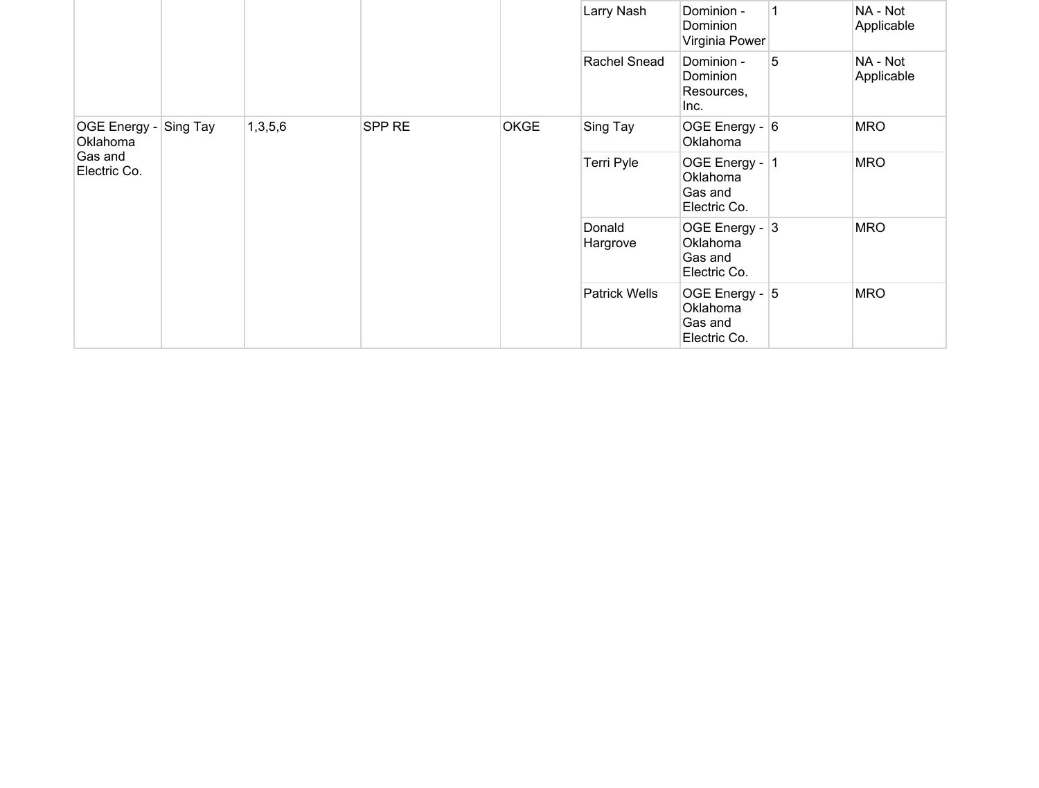|                                                                         |        |             |          | Larry Nash                     | Dominion -<br>Dominion<br>Virginia Power     |                                                       | NA - Not<br>Applicable |            |
|-------------------------------------------------------------------------|--------|-------------|----------|--------------------------------|----------------------------------------------|-------------------------------------------------------|------------------------|------------|
|                                                                         |        |             |          | Rachel Snead                   | Dominion -<br>Dominion<br>Resources,<br>Inc. | 5                                                     | NA - Not<br>Applicable |            |
| OGE Energy - Sing Tay<br>1,3,5,6<br>Oklahoma<br>Gas and<br>Electric Co. | SPP RE | <b>OKGE</b> | Sing Tay | OGE Energy - $ 6 $<br>Oklahoma |                                              | <b>MRO</b>                                            |                        |            |
|                                                                         |        |             |          |                                | Terri Pyle                                   | OGE Energy -<br>Oklahoma<br>Gas and<br>Electric Co.   | 1                      | <b>MRO</b> |
|                                                                         |        |             |          |                                | Donald<br>Hargrove                           | OGE Energy - 3<br>Oklahoma<br>Gas and<br>Electric Co. |                        | <b>MRO</b> |
|                                                                         |        |             |          |                                | <b>Patrick Wells</b>                         | OGE Energy - 5<br>Oklahoma<br>Gas and<br>Electric Co. |                        | <b>MRO</b> |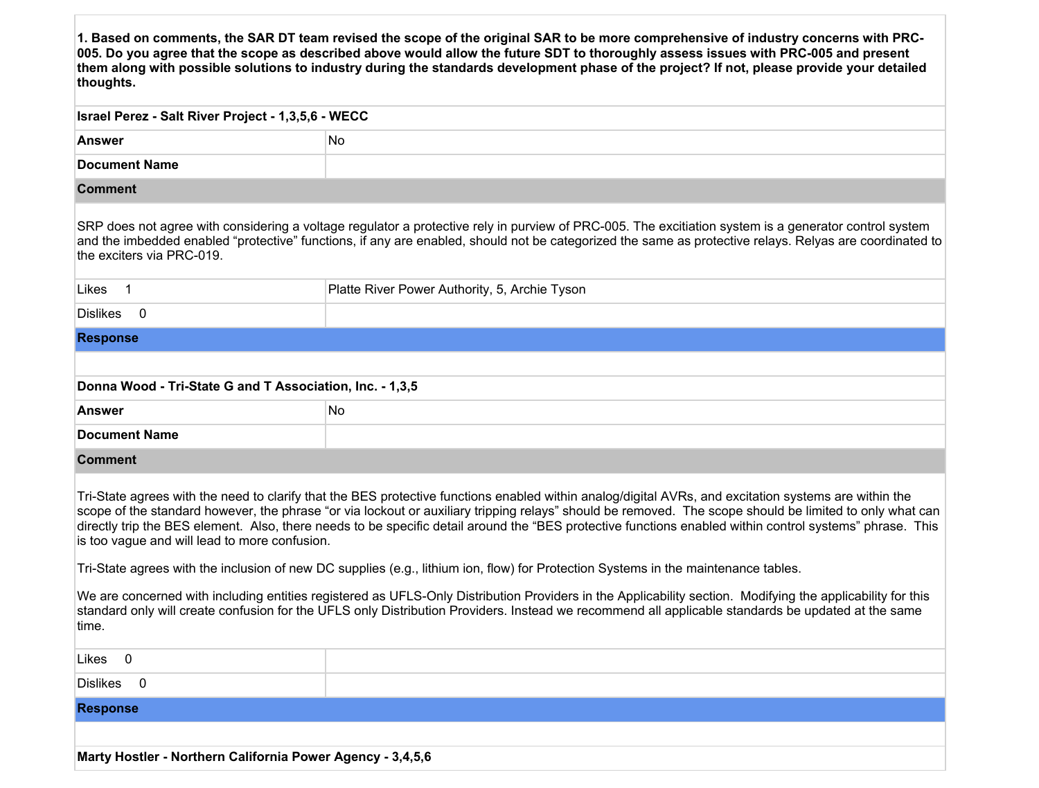| 1. Based on comments, the SAR DT team revised the scope of the original SAR to be more comprehensive of industry concerns with PRC-<br>005. Do you agree that the scope as described above would allow the future SDT to thoroughly assess issues with PRC-005 and present<br>them along with possible solutions to industry during the standards development phase of the project? If not, please provide your detailed<br>thoughts. |    |  |  |  |  |
|---------------------------------------------------------------------------------------------------------------------------------------------------------------------------------------------------------------------------------------------------------------------------------------------------------------------------------------------------------------------------------------------------------------------------------------|----|--|--|--|--|
| Israel Perez - Salt River Project - 1,3,5,6 - WECC                                                                                                                                                                                                                                                                                                                                                                                    |    |  |  |  |  |
| <b>Answer</b>                                                                                                                                                                                                                                                                                                                                                                                                                         | No |  |  |  |  |
| <b>Document Name</b>                                                                                                                                                                                                                                                                                                                                                                                                                  |    |  |  |  |  |
| Comment                                                                                                                                                                                                                                                                                                                                                                                                                               |    |  |  |  |  |

SRP does not agree with considering a voltage regulator a protective rely in purview of PRC-005. The excitiation system is a generator control system and the imbedded enabled "protective" functions, if any are enabled, should not be categorized the same as protective relays. Relyas are coordinated to the exciters via PRC-019.

| Likes                 | Platte River Power Authority, 5, Archie Tyson |
|-----------------------|-----------------------------------------------|
| <sup>'</sup> Dislikes |                                               |

#### **Response**

| Donna Wood - Tri-State G and T Association, Inc. - 1,3,5 |  |  |  |  |  |
|----------------------------------------------------------|--|--|--|--|--|
|----------------------------------------------------------|--|--|--|--|--|

| <b>Answer</b>                | No |  |  |  |
|------------------------------|----|--|--|--|
| <b>Document Name</b>         |    |  |  |  |
| Comman<br><b>VUIIIIIVIII</b> |    |  |  |  |

Tri-State agrees with the need to clarify that the BES protective functions enabled within analog/digital AVRs, and excitation systems are within the scope of the standard however, the phrase "or via lockout or auxiliary tripping relays" should be removed. The scope should be limited to only what can directly trip the BES element. Also, there needs to be specific detail around the "BES protective functions enabled within control systems" phrase. This is too vague and will lead to more confusion.

Tri-State agrees with the inclusion of new DC supplies (e.g., lithium ion, flow) for Protection Systems in the maintenance tables.

We are concerned with including entities registered as UFLS-Only Distribution Providers in the Applicability section. Modifying the applicability for this standard only will create confusion for the UFLS only Distribution Providers. Instead we recommend all applicable standards be updated at the same time.

| Likes<br>$\overline{\mathbf{0}}$                           |  |  |  |  |
|------------------------------------------------------------|--|--|--|--|
| Dislikes 0                                                 |  |  |  |  |
| <b>Response</b>                                            |  |  |  |  |
|                                                            |  |  |  |  |
| Marty Hostler - Northern California Power Agency - 3,4,5,6 |  |  |  |  |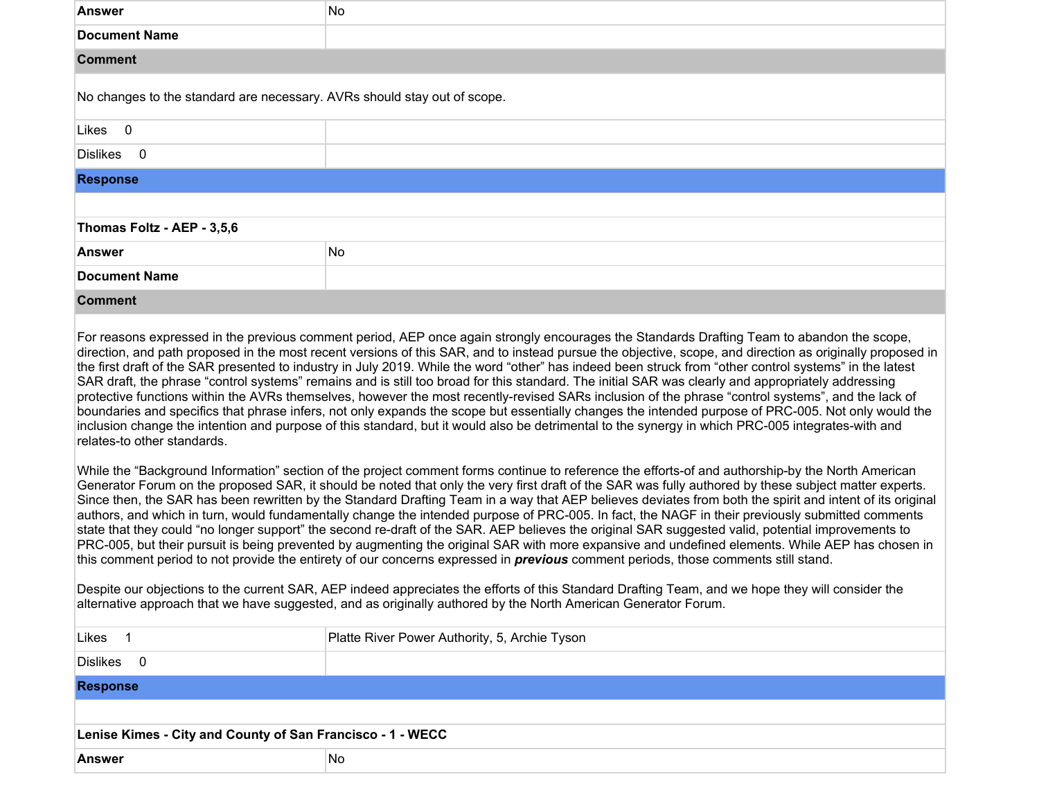| <b>Answer</b>                                                                                                                                                                                                                                                                                                                                                                                                                                                                                                                                                                                                                                                                                                                                                                                                                                                                                                                                                                                                                                                                                                                                                                                                                                                                                                                                           | No                                                                                                                                                                                                                                                                                                                                                                                                                                                                                                                                                                                                                                                                                                                                                                                                                                                                                                                                           |  |  |  |
|---------------------------------------------------------------------------------------------------------------------------------------------------------------------------------------------------------------------------------------------------------------------------------------------------------------------------------------------------------------------------------------------------------------------------------------------------------------------------------------------------------------------------------------------------------------------------------------------------------------------------------------------------------------------------------------------------------------------------------------------------------------------------------------------------------------------------------------------------------------------------------------------------------------------------------------------------------------------------------------------------------------------------------------------------------------------------------------------------------------------------------------------------------------------------------------------------------------------------------------------------------------------------------------------------------------------------------------------------------|----------------------------------------------------------------------------------------------------------------------------------------------------------------------------------------------------------------------------------------------------------------------------------------------------------------------------------------------------------------------------------------------------------------------------------------------------------------------------------------------------------------------------------------------------------------------------------------------------------------------------------------------------------------------------------------------------------------------------------------------------------------------------------------------------------------------------------------------------------------------------------------------------------------------------------------------|--|--|--|
| <b>Document Name</b>                                                                                                                                                                                                                                                                                                                                                                                                                                                                                                                                                                                                                                                                                                                                                                                                                                                                                                                                                                                                                                                                                                                                                                                                                                                                                                                                    |                                                                                                                                                                                                                                                                                                                                                                                                                                                                                                                                                                                                                                                                                                                                                                                                                                                                                                                                              |  |  |  |
| <b>Comment</b>                                                                                                                                                                                                                                                                                                                                                                                                                                                                                                                                                                                                                                                                                                                                                                                                                                                                                                                                                                                                                                                                                                                                                                                                                                                                                                                                          |                                                                                                                                                                                                                                                                                                                                                                                                                                                                                                                                                                                                                                                                                                                                                                                                                                                                                                                                              |  |  |  |
| No changes to the standard are necessary. AVRs should stay out of scope.                                                                                                                                                                                                                                                                                                                                                                                                                                                                                                                                                                                                                                                                                                                                                                                                                                                                                                                                                                                                                                                                                                                                                                                                                                                                                |                                                                                                                                                                                                                                                                                                                                                                                                                                                                                                                                                                                                                                                                                                                                                                                                                                                                                                                                              |  |  |  |
| Likes 0                                                                                                                                                                                                                                                                                                                                                                                                                                                                                                                                                                                                                                                                                                                                                                                                                                                                                                                                                                                                                                                                                                                                                                                                                                                                                                                                                 |                                                                                                                                                                                                                                                                                                                                                                                                                                                                                                                                                                                                                                                                                                                                                                                                                                                                                                                                              |  |  |  |
| Dislikes 0                                                                                                                                                                                                                                                                                                                                                                                                                                                                                                                                                                                                                                                                                                                                                                                                                                                                                                                                                                                                                                                                                                                                                                                                                                                                                                                                              |                                                                                                                                                                                                                                                                                                                                                                                                                                                                                                                                                                                                                                                                                                                                                                                                                                                                                                                                              |  |  |  |
| <b>Response</b>                                                                                                                                                                                                                                                                                                                                                                                                                                                                                                                                                                                                                                                                                                                                                                                                                                                                                                                                                                                                                                                                                                                                                                                                                                                                                                                                         |                                                                                                                                                                                                                                                                                                                                                                                                                                                                                                                                                                                                                                                                                                                                                                                                                                                                                                                                              |  |  |  |
|                                                                                                                                                                                                                                                                                                                                                                                                                                                                                                                                                                                                                                                                                                                                                                                                                                                                                                                                                                                                                                                                                                                                                                                                                                                                                                                                                         |                                                                                                                                                                                                                                                                                                                                                                                                                                                                                                                                                                                                                                                                                                                                                                                                                                                                                                                                              |  |  |  |
| Thomas Foltz - AEP - 3,5,6                                                                                                                                                                                                                                                                                                                                                                                                                                                                                                                                                                                                                                                                                                                                                                                                                                                                                                                                                                                                                                                                                                                                                                                                                                                                                                                              |                                                                                                                                                                                                                                                                                                                                                                                                                                                                                                                                                                                                                                                                                                                                                                                                                                                                                                                                              |  |  |  |
| <b>Answer</b>                                                                                                                                                                                                                                                                                                                                                                                                                                                                                                                                                                                                                                                                                                                                                                                                                                                                                                                                                                                                                                                                                                                                                                                                                                                                                                                                           | No                                                                                                                                                                                                                                                                                                                                                                                                                                                                                                                                                                                                                                                                                                                                                                                                                                                                                                                                           |  |  |  |
| <b>Document Name</b>                                                                                                                                                                                                                                                                                                                                                                                                                                                                                                                                                                                                                                                                                                                                                                                                                                                                                                                                                                                                                                                                                                                                                                                                                                                                                                                                    |                                                                                                                                                                                                                                                                                                                                                                                                                                                                                                                                                                                                                                                                                                                                                                                                                                                                                                                                              |  |  |  |
| <b>Comment</b>                                                                                                                                                                                                                                                                                                                                                                                                                                                                                                                                                                                                                                                                                                                                                                                                                                                                                                                                                                                                                                                                                                                                                                                                                                                                                                                                          |                                                                                                                                                                                                                                                                                                                                                                                                                                                                                                                                                                                                                                                                                                                                                                                                                                                                                                                                              |  |  |  |
| relates-to other standards.                                                                                                                                                                                                                                                                                                                                                                                                                                                                                                                                                                                                                                                                                                                                                                                                                                                                                                                                                                                                                                                                                                                                                                                                                                                                                                                             | direction, and path proposed in the most recent versions of this SAR, and to instead pursue the objective, scope, and direction as originally proposed in<br>the first draft of the SAR presented to industry in July 2019. While the word "other" has indeed been struck from "other control systems" in the latest<br>SAR draft, the phrase "control systems" remains and is still too broad for this standard. The initial SAR was clearly and appropriately addressing<br>protective functions within the AVRs themselves, however the most recently-revised SARs inclusion of the phrase "control systems", and the lack of<br>boundaries and specifics that phrase infers, not only expands the scope but essentially changes the intended purpose of PRC-005. Not only would the<br>inclusion change the intention and purpose of this standard, but it would also be detrimental to the synergy in which PRC-005 integrates-with and |  |  |  |
| While the "Background Information" section of the project comment forms continue to reference the efforts-of and authorship-by the North American<br>Generator Forum on the proposed SAR, it should be noted that only the very first draft of the SAR was fully authored by these subject matter experts.<br>Since then, the SAR has been rewritten by the Standard Drafting Team in a way that AEP believes deviates from both the spirit and intent of its original<br>authors, and which in turn, would fundamentally change the intended purpose of PRC-005. In fact, the NAGF in their previously submitted comments<br>state that they could "no longer support" the second re-draft of the SAR. AEP believes the original SAR suggested valid, potential improvements to<br>PRC-005, but their pursuit is being prevented by augmenting the original SAR with more expansive and undefined elements. While AEP has chosen in<br>this comment period to not provide the entirety of our concerns expressed in <i>previous</i> comment periods, those comments still stand.<br>Despite our objections to the current SAR, AEP indeed appreciates the efforts of this Standard Drafting Team, and we hope they will consider the<br>alternative approach that we have suggested, and as originally authored by the North American Generator Forum. |                                                                                                                                                                                                                                                                                                                                                                                                                                                                                                                                                                                                                                                                                                                                                                                                                                                                                                                                              |  |  |  |
| $\overline{\phantom{0}}$ 1<br>Likes                                                                                                                                                                                                                                                                                                                                                                                                                                                                                                                                                                                                                                                                                                                                                                                                                                                                                                                                                                                                                                                                                                                                                                                                                                                                                                                     | Platte River Power Authority, 5, Archie Tyson                                                                                                                                                                                                                                                                                                                                                                                                                                                                                                                                                                                                                                                                                                                                                                                                                                                                                                |  |  |  |
| Dislikes 0                                                                                                                                                                                                                                                                                                                                                                                                                                                                                                                                                                                                                                                                                                                                                                                                                                                                                                                                                                                                                                                                                                                                                                                                                                                                                                                                              |                                                                                                                                                                                                                                                                                                                                                                                                                                                                                                                                                                                                                                                                                                                                                                                                                                                                                                                                              |  |  |  |
| <b>Response</b>                                                                                                                                                                                                                                                                                                                                                                                                                                                                                                                                                                                                                                                                                                                                                                                                                                                                                                                                                                                                                                                                                                                                                                                                                                                                                                                                         |                                                                                                                                                                                                                                                                                                                                                                                                                                                                                                                                                                                                                                                                                                                                                                                                                                                                                                                                              |  |  |  |
|                                                                                                                                                                                                                                                                                                                                                                                                                                                                                                                                                                                                                                                                                                                                                                                                                                                                                                                                                                                                                                                                                                                                                                                                                                                                                                                                                         |                                                                                                                                                                                                                                                                                                                                                                                                                                                                                                                                                                                                                                                                                                                                                                                                                                                                                                                                              |  |  |  |
| Lenise Kimes - City and County of San Francisco - 1 - WECC                                                                                                                                                                                                                                                                                                                                                                                                                                                                                                                                                                                                                                                                                                                                                                                                                                                                                                                                                                                                                                                                                                                                                                                                                                                                                              |                                                                                                                                                                                                                                                                                                                                                                                                                                                                                                                                                                                                                                                                                                                                                                                                                                                                                                                                              |  |  |  |

**Answer** No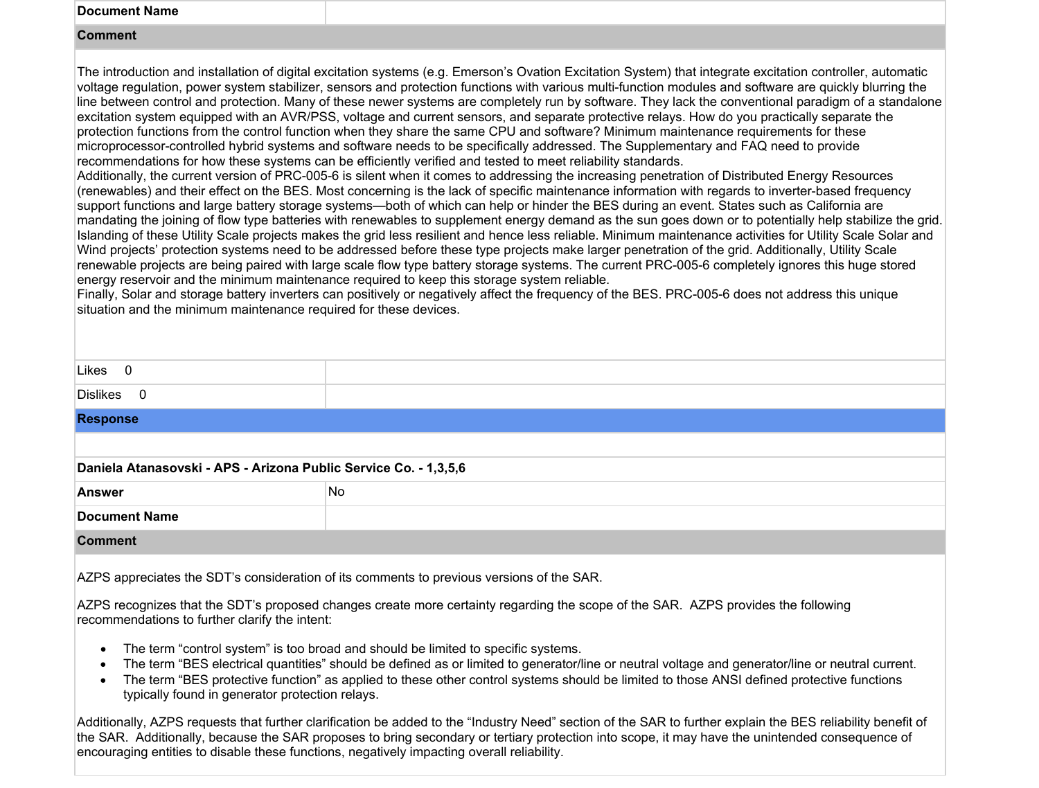| <b>Document Name</b>                                                                                        |                                                                                                                                                                                                                                                                                                                                                                                                                                                                                                                                                                                                                                                                                                                                                                                                                                                                                                                                                                                                                                                                                                                                                                                                                                                                                                                                                                                                                                                                                                                                                                                                                                                                                                                                                                                                                                                                                                                                                                                                                                                                                                                                                                                                                                                                                                                                                                               |
|-------------------------------------------------------------------------------------------------------------|-------------------------------------------------------------------------------------------------------------------------------------------------------------------------------------------------------------------------------------------------------------------------------------------------------------------------------------------------------------------------------------------------------------------------------------------------------------------------------------------------------------------------------------------------------------------------------------------------------------------------------------------------------------------------------------------------------------------------------------------------------------------------------------------------------------------------------------------------------------------------------------------------------------------------------------------------------------------------------------------------------------------------------------------------------------------------------------------------------------------------------------------------------------------------------------------------------------------------------------------------------------------------------------------------------------------------------------------------------------------------------------------------------------------------------------------------------------------------------------------------------------------------------------------------------------------------------------------------------------------------------------------------------------------------------------------------------------------------------------------------------------------------------------------------------------------------------------------------------------------------------------------------------------------------------------------------------------------------------------------------------------------------------------------------------------------------------------------------------------------------------------------------------------------------------------------------------------------------------------------------------------------------------------------------------------------------------------------------------------------------------|
| <b>Comment</b>                                                                                              |                                                                                                                                                                                                                                                                                                                                                                                                                                                                                                                                                                                                                                                                                                                                                                                                                                                                                                                                                                                                                                                                                                                                                                                                                                                                                                                                                                                                                                                                                                                                                                                                                                                                                                                                                                                                                                                                                                                                                                                                                                                                                                                                                                                                                                                                                                                                                                               |
| situation and the minimum maintenance required for these devices.                                           | The introduction and installation of digital excitation systems (e.g. Emerson's Ovation Excitation System) that integrate excitation controller, automatic<br>voltage regulation, power system stabilizer, sensors and protection functions with various multi-function modules and software are quickly blurring the<br>line between control and protection. Many of these newer systems are completely run by software. They lack the conventional paradigm of a standalone<br>excitation system equipped with an AVR/PSS, voltage and current sensors, and separate protective relays. How do you practically separate the<br>protection functions from the control function when they share the same CPU and software? Minimum maintenance requirements for these<br>microprocessor-controlled hybrid systems and software needs to be specifically addressed. The Supplementary and FAQ need to provide<br>recommendations for how these systems can be efficiently verified and tested to meet reliability standards.<br>Additionally, the current version of PRC-005-6 is silent when it comes to addressing the increasing penetration of Distributed Energy Resources<br>(renewables) and their effect on the BES. Most concerning is the lack of specific maintenance information with regards to inverter-based frequency<br>support functions and large battery storage systems—both of which can help or hinder the BES during an event. States such as California are<br>mandating the joining of flow type batteries with renewables to supplement energy demand as the sun goes down or to potentially help stabilize the grid.<br>Islanding of these Utility Scale projects makes the grid less resilient and hence less reliable. Minimum maintenance activities for Utility Scale Solar and<br>Wind projects' protection systems need to be addressed before these type projects make larger penetration of the grid. Additionally, Utility Scale<br>renewable projects are being paired with large scale flow type battery storage systems. The current PRC-005-6 completely ignores this huge stored<br>energy reservoir and the minimum maintenance required to keep this storage system reliable.<br>Finally, Solar and storage battery inverters can positively or negatively affect the frequency of the BES. PRC-005-6 does not address this unique |
| Likes 0                                                                                                     |                                                                                                                                                                                                                                                                                                                                                                                                                                                                                                                                                                                                                                                                                                                                                                                                                                                                                                                                                                                                                                                                                                                                                                                                                                                                                                                                                                                                                                                                                                                                                                                                                                                                                                                                                                                                                                                                                                                                                                                                                                                                                                                                                                                                                                                                                                                                                                               |
| <b>Dislikes</b><br>$\overline{0}$                                                                           |                                                                                                                                                                                                                                                                                                                                                                                                                                                                                                                                                                                                                                                                                                                                                                                                                                                                                                                                                                                                                                                                                                                                                                                                                                                                                                                                                                                                                                                                                                                                                                                                                                                                                                                                                                                                                                                                                                                                                                                                                                                                                                                                                                                                                                                                                                                                                                               |
| <b>Response</b>                                                                                             |                                                                                                                                                                                                                                                                                                                                                                                                                                                                                                                                                                                                                                                                                                                                                                                                                                                                                                                                                                                                                                                                                                                                                                                                                                                                                                                                                                                                                                                                                                                                                                                                                                                                                                                                                                                                                                                                                                                                                                                                                                                                                                                                                                                                                                                                                                                                                                               |
| Daniela Atanasovski - APS - Arizona Public Service Co. - 1,3,5,6<br><b>Answer</b>                           | No                                                                                                                                                                                                                                                                                                                                                                                                                                                                                                                                                                                                                                                                                                                                                                                                                                                                                                                                                                                                                                                                                                                                                                                                                                                                                                                                                                                                                                                                                                                                                                                                                                                                                                                                                                                                                                                                                                                                                                                                                                                                                                                                                                                                                                                                                                                                                                            |
| <b>Document Name</b>                                                                                        |                                                                                                                                                                                                                                                                                                                                                                                                                                                                                                                                                                                                                                                                                                                                                                                                                                                                                                                                                                                                                                                                                                                                                                                                                                                                                                                                                                                                                                                                                                                                                                                                                                                                                                                                                                                                                                                                                                                                                                                                                                                                                                                                                                                                                                                                                                                                                                               |
| <b>Comment</b>                                                                                              |                                                                                                                                                                                                                                                                                                                                                                                                                                                                                                                                                                                                                                                                                                                                                                                                                                                                                                                                                                                                                                                                                                                                                                                                                                                                                                                                                                                                                                                                                                                                                                                                                                                                                                                                                                                                                                                                                                                                                                                                                                                                                                                                                                                                                                                                                                                                                                               |
| recommendations to further clarify the intent:<br>٠<br>٠<br>typically found in generator protection relays. | AZPS appreciates the SDT's consideration of its comments to previous versions of the SAR.<br>AZPS recognizes that the SDT's proposed changes create more certainty regarding the scope of the SAR. AZPS provides the following<br>The term "control system" is too broad and should be limited to specific systems.<br>The term "BES electrical quantities" should be defined as or limited to generator/line or neutral voltage and generator/line or neutral current.<br>The term "BES protective function" as applied to these other control systems should be limited to those ANSI defined protective functions                                                                                                                                                                                                                                                                                                                                                                                                                                                                                                                                                                                                                                                                                                                                                                                                                                                                                                                                                                                                                                                                                                                                                                                                                                                                                                                                                                                                                                                                                                                                                                                                                                                                                                                                                          |

Additionally, AZPS requests that further clarification be added to the "Industry Need" section of the SAR to further explain the BES reliability benefit of the SAR. Additionally, because the SAR proposes to bring secondary or tertiary protection into scope, it may have the unintended consequence of encouraging entities to disable these functions, negatively impacting overall reliability.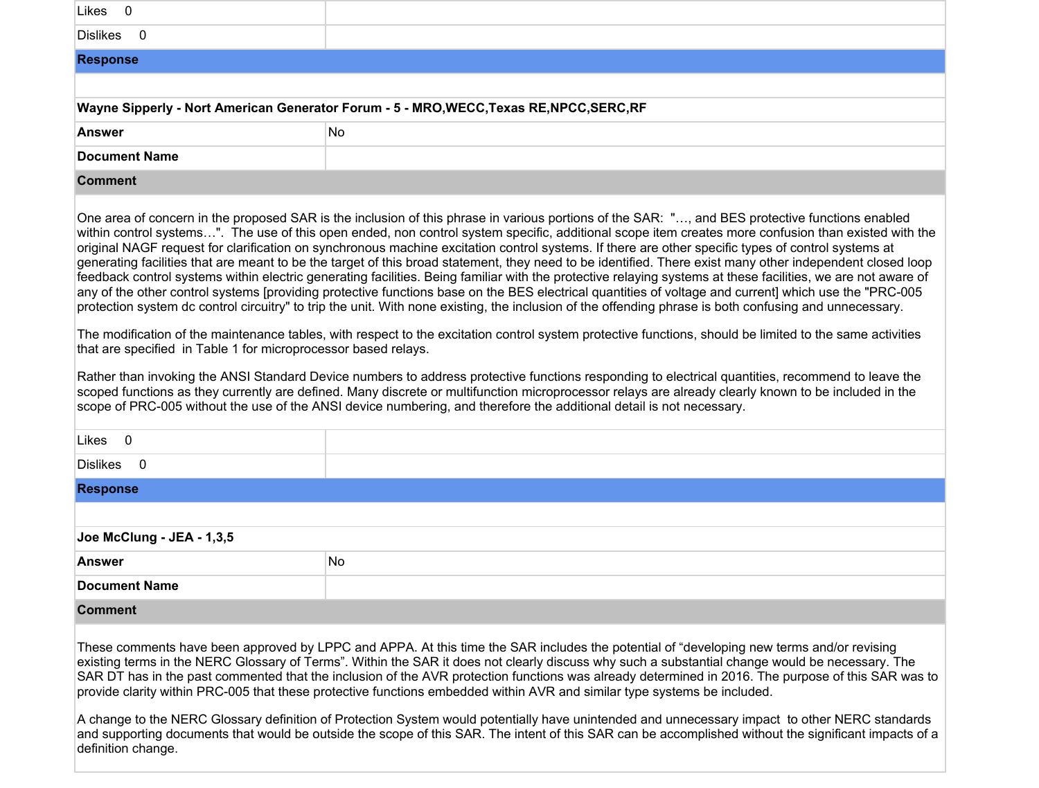| 0<br>Likes                                                                                                                                                                                                                                                                                                                                                                                                                                        |                                                                                                                                                                                                                                                                                                                                                                                                                                                                                                                                                                                                                                                                                                                                                                                                                                                                                                                                                                                                                                                                                                                                                                                                                                                                                                                                                                                                                                                                                                                                                                                                                                                                                                                |  |
|---------------------------------------------------------------------------------------------------------------------------------------------------------------------------------------------------------------------------------------------------------------------------------------------------------------------------------------------------------------------------------------------------------------------------------------------------|----------------------------------------------------------------------------------------------------------------------------------------------------------------------------------------------------------------------------------------------------------------------------------------------------------------------------------------------------------------------------------------------------------------------------------------------------------------------------------------------------------------------------------------------------------------------------------------------------------------------------------------------------------------------------------------------------------------------------------------------------------------------------------------------------------------------------------------------------------------------------------------------------------------------------------------------------------------------------------------------------------------------------------------------------------------------------------------------------------------------------------------------------------------------------------------------------------------------------------------------------------------------------------------------------------------------------------------------------------------------------------------------------------------------------------------------------------------------------------------------------------------------------------------------------------------------------------------------------------------------------------------------------------------------------------------------------------------|--|
| <b>Dislikes</b><br>$\mathbf{0}$                                                                                                                                                                                                                                                                                                                                                                                                                   |                                                                                                                                                                                                                                                                                                                                                                                                                                                                                                                                                                                                                                                                                                                                                                                                                                                                                                                                                                                                                                                                                                                                                                                                                                                                                                                                                                                                                                                                                                                                                                                                                                                                                                                |  |
| <b>Response</b>                                                                                                                                                                                                                                                                                                                                                                                                                                   |                                                                                                                                                                                                                                                                                                                                                                                                                                                                                                                                                                                                                                                                                                                                                                                                                                                                                                                                                                                                                                                                                                                                                                                                                                                                                                                                                                                                                                                                                                                                                                                                                                                                                                                |  |
|                                                                                                                                                                                                                                                                                                                                                                                                                                                   |                                                                                                                                                                                                                                                                                                                                                                                                                                                                                                                                                                                                                                                                                                                                                                                                                                                                                                                                                                                                                                                                                                                                                                                                                                                                                                                                                                                                                                                                                                                                                                                                                                                                                                                |  |
|                                                                                                                                                                                                                                                                                                                                                                                                                                                   | Wayne Sipperly - Nort American Generator Forum - 5 - MRO, WECC, Texas RE, NPCC, SERC, RF                                                                                                                                                                                                                                                                                                                                                                                                                                                                                                                                                                                                                                                                                                                                                                                                                                                                                                                                                                                                                                                                                                                                                                                                                                                                                                                                                                                                                                                                                                                                                                                                                       |  |
| <b>Answer</b>                                                                                                                                                                                                                                                                                                                                                                                                                                     | <b>No</b>                                                                                                                                                                                                                                                                                                                                                                                                                                                                                                                                                                                                                                                                                                                                                                                                                                                                                                                                                                                                                                                                                                                                                                                                                                                                                                                                                                                                                                                                                                                                                                                                                                                                                                      |  |
| <b>Document Name</b>                                                                                                                                                                                                                                                                                                                                                                                                                              |                                                                                                                                                                                                                                                                                                                                                                                                                                                                                                                                                                                                                                                                                                                                                                                                                                                                                                                                                                                                                                                                                                                                                                                                                                                                                                                                                                                                                                                                                                                                                                                                                                                                                                                |  |
| <b>Comment</b>                                                                                                                                                                                                                                                                                                                                                                                                                                    |                                                                                                                                                                                                                                                                                                                                                                                                                                                                                                                                                                                                                                                                                                                                                                                                                                                                                                                                                                                                                                                                                                                                                                                                                                                                                                                                                                                                                                                                                                                                                                                                                                                                                                                |  |
| that are specified in Table 1 for microprocessor based relays.<br>$\overline{\mathbf{0}}$<br>Likes                                                                                                                                                                                                                                                                                                                                                | One area of concern in the proposed SAR is the inclusion of this phrase in various portions of the SAR: ", and BES protective functions enabled<br>within control systems". The use of this open ended, non control system specific, additional scope item creates more confusion than existed with the<br>original NAGF request for clarification on synchronous machine excitation control systems. If there are other specific types of control systems at<br>generating facilities that are meant to be the target of this broad statement, they need to be identified. There exist many other independent closed loop<br>feedback control systems within electric generating facilities. Being familiar with the protective relaying systems at these facilities, we are not aware of<br>any of the other control systems [providing protective functions base on the BES electrical quantities of voltage and current] which use the "PRC-005<br>protection system dc control circuitry" to trip the unit. With none existing, the inclusion of the offending phrase is both confusing and unnecessary.<br>The modification of the maintenance tables, with respect to the excitation control system protective functions, should be limited to the same activities<br>Rather than invoking the ANSI Standard Device numbers to address protective functions responding to electrical quantities, recommend to leave the<br>scoped functions as they currently are defined. Many discrete or multifunction microprocessor relays are already clearly known to be included in the<br>scope of PRC-005 without the use of the ANSI device numbering, and therefore the additional detail is not necessary. |  |
| <b>Dislikes</b><br>$\mathbf{0}$                                                                                                                                                                                                                                                                                                                                                                                                                   |                                                                                                                                                                                                                                                                                                                                                                                                                                                                                                                                                                                                                                                                                                                                                                                                                                                                                                                                                                                                                                                                                                                                                                                                                                                                                                                                                                                                                                                                                                                                                                                                                                                                                                                |  |
| <b>Response</b>                                                                                                                                                                                                                                                                                                                                                                                                                                   |                                                                                                                                                                                                                                                                                                                                                                                                                                                                                                                                                                                                                                                                                                                                                                                                                                                                                                                                                                                                                                                                                                                                                                                                                                                                                                                                                                                                                                                                                                                                                                                                                                                                                                                |  |
| Joe McClung - JEA - 1,3,5                                                                                                                                                                                                                                                                                                                                                                                                                         |                                                                                                                                                                                                                                                                                                                                                                                                                                                                                                                                                                                                                                                                                                                                                                                                                                                                                                                                                                                                                                                                                                                                                                                                                                                                                                                                                                                                                                                                                                                                                                                                                                                                                                                |  |
| <b>Answer</b>                                                                                                                                                                                                                                                                                                                                                                                                                                     | No                                                                                                                                                                                                                                                                                                                                                                                                                                                                                                                                                                                                                                                                                                                                                                                                                                                                                                                                                                                                                                                                                                                                                                                                                                                                                                                                                                                                                                                                                                                                                                                                                                                                                                             |  |
| <b>Document Name</b>                                                                                                                                                                                                                                                                                                                                                                                                                              |                                                                                                                                                                                                                                                                                                                                                                                                                                                                                                                                                                                                                                                                                                                                                                                                                                                                                                                                                                                                                                                                                                                                                                                                                                                                                                                                                                                                                                                                                                                                                                                                                                                                                                                |  |
| <b>Comment</b>                                                                                                                                                                                                                                                                                                                                                                                                                                    |                                                                                                                                                                                                                                                                                                                                                                                                                                                                                                                                                                                                                                                                                                                                                                                                                                                                                                                                                                                                                                                                                                                                                                                                                                                                                                                                                                                                                                                                                                                                                                                                                                                                                                                |  |
| These comments have been approved by LPPC and APPA. At this time the SAR includes the potential of "developing new terms and/or revising<br>existing terms in the NERC Glossary of Terms". Within the SAR it does not clearly discuss why such a substantial change would be necessary. The<br>SAR DT has in the past commented that the inclusion of the AVR protection functions was already determined in 2016. The purpose of this SAR was to |                                                                                                                                                                                                                                                                                                                                                                                                                                                                                                                                                                                                                                                                                                                                                                                                                                                                                                                                                                                                                                                                                                                                                                                                                                                                                                                                                                                                                                                                                                                                                                                                                                                                                                                |  |

provide clarity within PRC-005 that these protective functions embedded within AVR and similar type systems be included. A change to the NERC Glossary definition of Protection System would potentially have unintended and unnecessary impact to other NERC standards and supporting documents that would be outside the scope of this SAR. The intent of this SAR can be accomplished without the significant impacts of a

definition change.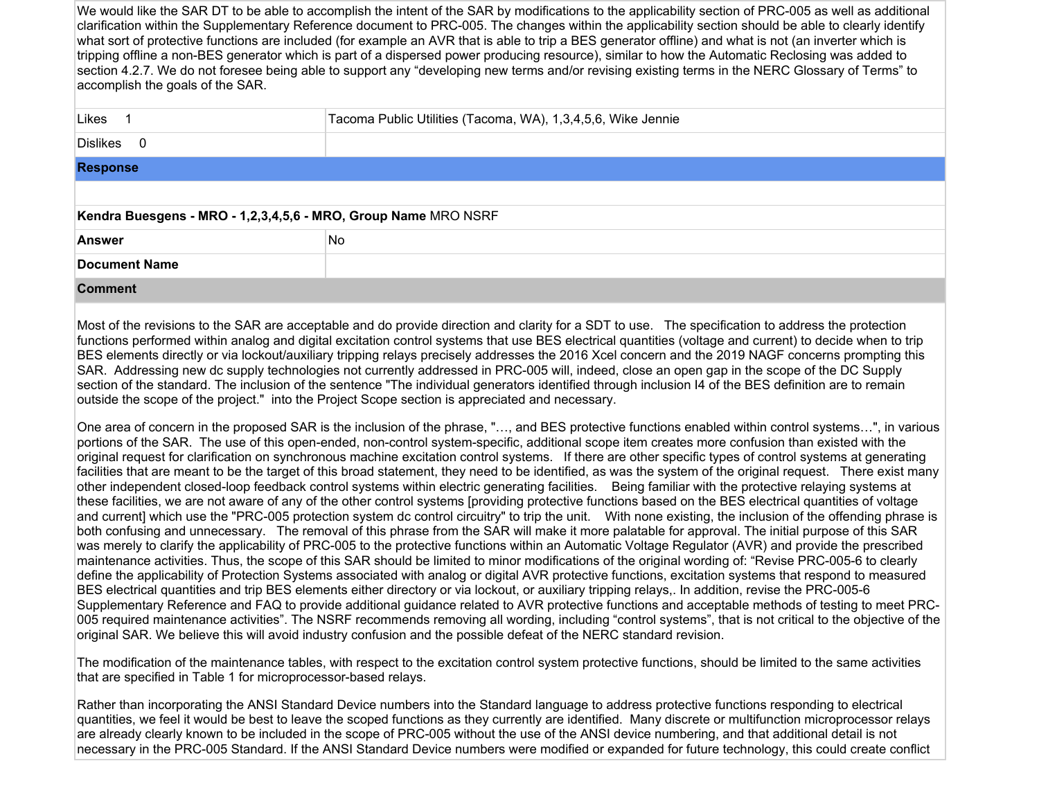We would like the SAR DT to be able to accomplish the intent of the SAR by modifications to the applicability section of PRC-005 as well as additional clarification within the Supplementary Reference document to PRC-005. The changes within the applicability section should be able to clearly identify what sort of protective functions are included (for example an AVR that is able to trip a BES generator offline) and what is not (an inverter which is tripping offline a non-BES generator which is part of a dispersed power producing resource), similar to how the Automatic Reclosing was added to section 4.2.7. We do not foresee being able to support any "developing new terms and/or revising existing terms in the NERC Glossary of Terms" to accomplish the goals of the SAR.

| Likes                                                          | Tacoma Public Utilities (Tacoma, WA), 1,3,4,5,6, Wike Jennie |  |
|----------------------------------------------------------------|--------------------------------------------------------------|--|
| <b>Dislikes</b><br>$\overline{0}$                              |                                                              |  |
| <b>Response</b>                                                |                                                              |  |
|                                                                |                                                              |  |
| Kendra Buesgens - MRO - 1,2,3,4,5,6 - MRO, Group Name MRO NSRF |                                                              |  |
| <b>Answer</b>                                                  | No                                                           |  |
| <b>Document Name</b>                                           |                                                              |  |
| <b>Comment</b>                                                 |                                                              |  |

Most of the revisions to the SAR are acceptable and do provide direction and clarity for a SDT to use. The specification to address the protection functions performed within analog and digital excitation control systems that use BES electrical quantities (voltage and current) to decide when to trip BES elements directly or via lockout/auxiliary tripping relays precisely addresses the 2016 Xcel concern and the 2019 NAGF concerns prompting this SAR. Addressing new dc supply technologies not currently addressed in PRC-005 will, indeed, close an open gap in the scope of the DC Supply section of the standard. The inclusion of the sentence "The individual generators identified through inclusion I4 of the BES definition are to remain outside the scope of the project." into the Project Scope section is appreciated and necessary.

One area of concern in the proposed SAR is the inclusion of the phrase, "…, and BES protective functions enabled within control systems…", in various portions of the SAR. The use of this open-ended, non-control system-specific, additional scope item creates more confusion than existed with the original request for clarification on synchronous machine excitation control systems. If there are other specific types of control systems at generating facilities that are meant to be the target of this broad statement, they need to be identified, as was the system of the original request. There exist many other independent closed-loop feedback control systems within electric generating facilities. Being familiar with the protective relaying systems at these facilities, we are not aware of any of the other control systems [providing protective functions based on the BES electrical quantities of voltage and current] which use the "PRC-005 protection system dc control circuitry" to trip the unit. With none existing, the inclusion of the offending phrase is both confusing and unnecessary. The removal of this phrase from the SAR will make it more palatable for approval. The initial purpose of this SAR was merely to clarify the applicability of PRC-005 to the protective functions within an Automatic Voltage Regulator (AVR) and provide the prescribed maintenance activities. Thus, the scope of this SAR should be limited to minor modifications of the original wording of: "Revise PRC-005-6 to clearly define the applicability of Protection Systems associated with analog or digital AVR protective functions, excitation systems that respond to measured BES electrical quantities and trip BES elements either directory or via lockout, or auxiliary tripping relays,. In addition, revise the PRC-005-6 Supplementary Reference and FAQ to provide additional guidance related to AVR protective functions and acceptable methods of testing to meet PRC-005 required maintenance activities". The NSRF recommends removing all wording, including "control systems", that is not critical to the objective of the original SAR. We believe this will avoid industry confusion and the possible defeat of the NERC standard revision.

The modification of the maintenance tables, with respect to the excitation control system protective functions, should be limited to the same activities that are specified in Table 1 for microprocessor-based relays.

Rather than incorporating the ANSI Standard Device numbers into the Standard language to address protective functions responding to electrical quantities, we feel it would be best to leave the scoped functions as they currently are identified. Many discrete or multifunction microprocessor relays are already clearly known to be included in the scope of PRC-005 without the use of the ANSI device numbering, and that additional detail is not necessary in the PRC-005 Standard. If the ANSI Standard Device numbers were modified or expanded for future technology, this could create conflict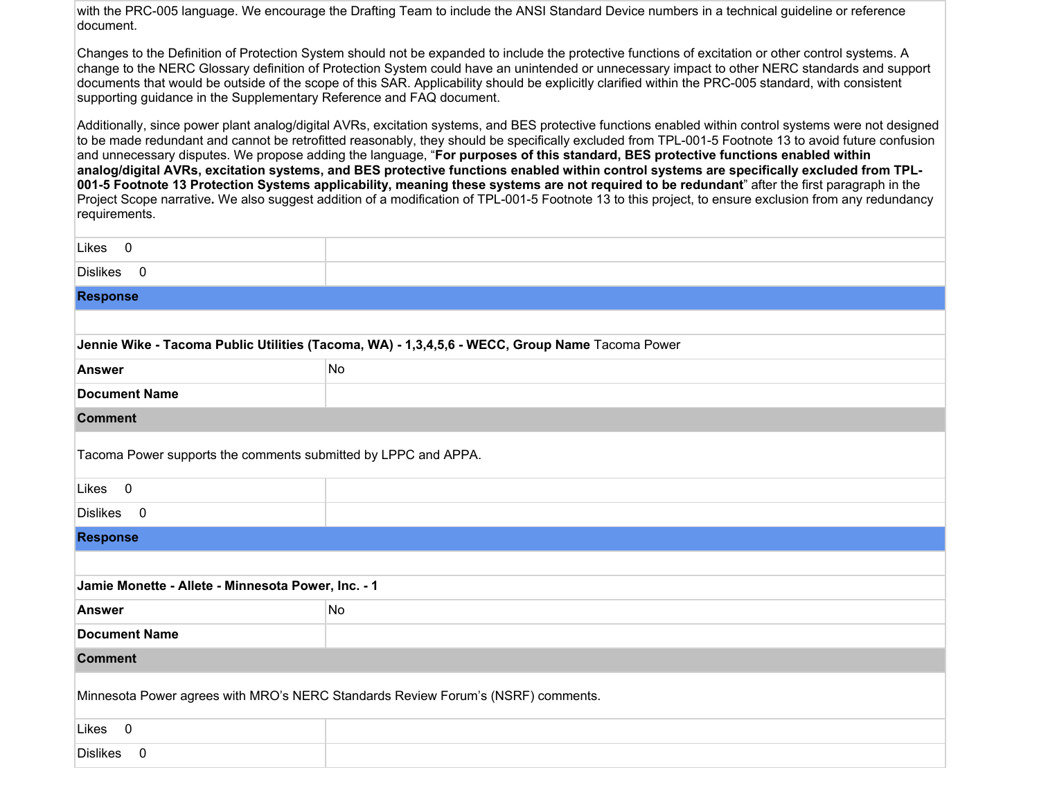with the PRC-005 language. We encourage the Drafting Team to include the ANSI Standard Device numbers in a technical guideline or reference document.

Changes to the Definition of Protection System should not be expanded to include the protective functions of excitation or other control systems. A change to the NERC Glossary definition of Protection System could have an unintended or unnecessary impact to other NERC standards and support documents that would be outside of the scope of this SAR. Applicability should be explicitly clarified within the PRC-005 standard, with consistent supporting guidance in the Supplementary Reference and FAQ document.

Additionally, since power plant analog/digital AVRs, excitation systems, and BES protective functions enabled within control systems were not designed to be made redundant and cannot be retrofitted reasonably, they should be specifically excluded from TPL-001-5 Footnote 13 to avoid future confusion and unnecessary disputes. We propose adding the language, "**For purposes of this standard, BES protective functions enabled within analog/digital AVRs, excitation systems, and BES protective functions enabled within control systems are specifically excluded from TPL-001-5 Footnote 13 Protection Systems applicability, meaning these systems are not required to be redundant**" after the first paragraph in the Project Scope narrative**.** We also suggest addition of a modification of TPL-001-5 Footnote 13 to this project, to ensure exclusion from any redundancy requirements.

| $\mathbf 0$<br>Likes                                                             |                                                                                                |  |
|----------------------------------------------------------------------------------|------------------------------------------------------------------------------------------------|--|
| <b>Dislikes</b><br>$\overline{0}$                                                |                                                                                                |  |
| <b>Response</b>                                                                  |                                                                                                |  |
|                                                                                  |                                                                                                |  |
|                                                                                  | Jennie Wike - Tacoma Public Utilities (Tacoma, WA) - 1,3,4,5,6 - WECC, Group Name Tacoma Power |  |
| <b>Answer</b>                                                                    | No                                                                                             |  |
| <b>Document Name</b>                                                             |                                                                                                |  |
| <b>Comment</b>                                                                   |                                                                                                |  |
| Tacoma Power supports the comments submitted by LPPC and APPA.                   |                                                                                                |  |
| Likes 0                                                                          |                                                                                                |  |
| <b>Dislikes</b><br>$\overline{0}$                                                |                                                                                                |  |
| <b>Response</b>                                                                  |                                                                                                |  |
|                                                                                  |                                                                                                |  |
| Jamie Monette - Allete - Minnesota Power, Inc. - 1                               |                                                                                                |  |
| <b>Answer</b>                                                                    | No                                                                                             |  |
| <b>Document Name</b>                                                             |                                                                                                |  |
| <b>Comment</b>                                                                   |                                                                                                |  |
| Minnesota Power agrees with MRO's NERC Standards Review Forum's (NSRF) comments. |                                                                                                |  |
| $\overline{0}$<br>Likes                                                          |                                                                                                |  |
| $\overline{0}$<br><b>Dislikes</b>                                                |                                                                                                |  |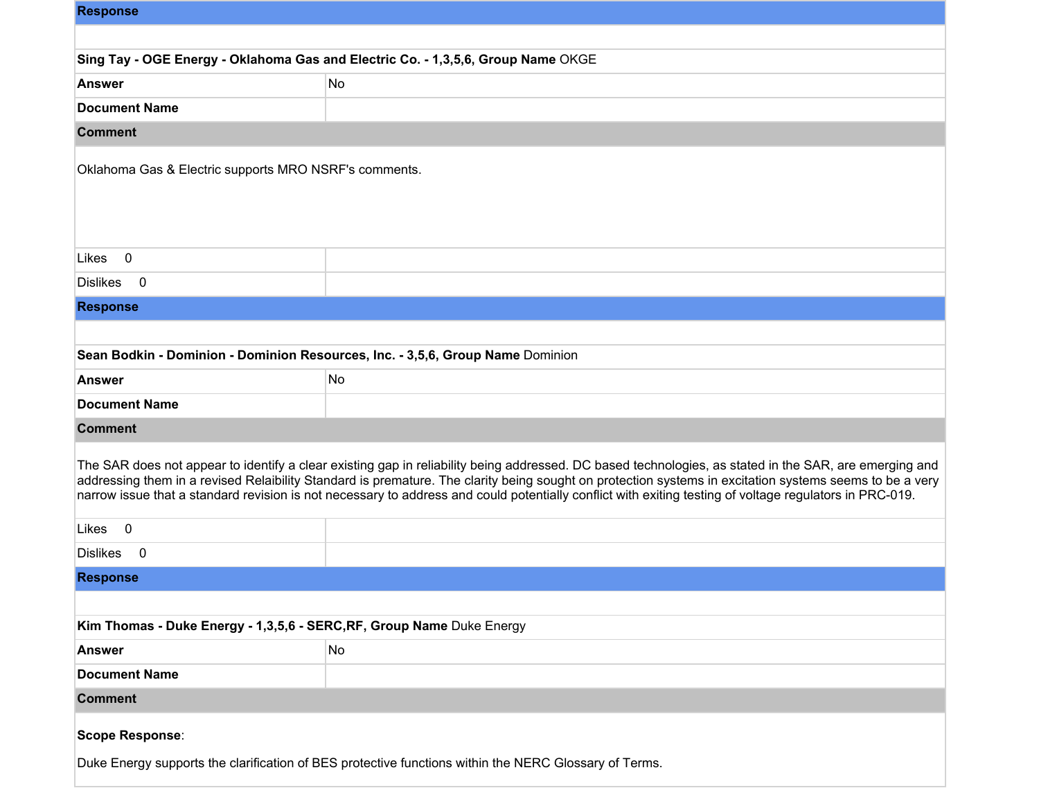| <b>Response</b>                                                                                                                                                                                                                                                                                                                                                                                                                                                              |                                                                                  |  |
|------------------------------------------------------------------------------------------------------------------------------------------------------------------------------------------------------------------------------------------------------------------------------------------------------------------------------------------------------------------------------------------------------------------------------------------------------------------------------|----------------------------------------------------------------------------------|--|
|                                                                                                                                                                                                                                                                                                                                                                                                                                                                              |                                                                                  |  |
|                                                                                                                                                                                                                                                                                                                                                                                                                                                                              | Sing Tay - OGE Energy - Oklahoma Gas and Electric Co. - 1,3,5,6, Group Name OKGE |  |
| <b>Answer</b>                                                                                                                                                                                                                                                                                                                                                                                                                                                                | <b>No</b>                                                                        |  |
| <b>Document Name</b>                                                                                                                                                                                                                                                                                                                                                                                                                                                         |                                                                                  |  |
| <b>Comment</b>                                                                                                                                                                                                                                                                                                                                                                                                                                                               |                                                                                  |  |
| Oklahoma Gas & Electric supports MRO NSRF's comments.                                                                                                                                                                                                                                                                                                                                                                                                                        |                                                                                  |  |
| Likes 0                                                                                                                                                                                                                                                                                                                                                                                                                                                                      |                                                                                  |  |
| <b>Dislikes</b><br>$\overline{\phantom{0}}$                                                                                                                                                                                                                                                                                                                                                                                                                                  |                                                                                  |  |
| <b>Response</b>                                                                                                                                                                                                                                                                                                                                                                                                                                                              |                                                                                  |  |
|                                                                                                                                                                                                                                                                                                                                                                                                                                                                              |                                                                                  |  |
| Sean Bodkin - Dominion - Dominion Resources, Inc. - 3,5,6, Group Name Dominion                                                                                                                                                                                                                                                                                                                                                                                               |                                                                                  |  |
| <b>Answer</b>                                                                                                                                                                                                                                                                                                                                                                                                                                                                | No                                                                               |  |
| <b>Document Name</b>                                                                                                                                                                                                                                                                                                                                                                                                                                                         |                                                                                  |  |
| <b>Comment</b>                                                                                                                                                                                                                                                                                                                                                                                                                                                               |                                                                                  |  |
| The SAR does not appear to identify a clear existing gap in reliability being addressed. DC based technologies, as stated in the SAR, are emerging and<br>addressing them in a revised Relaibility Standard is premature. The clarity being sought on protection systems in excitation systems seems to be a very<br>narrow issue that a standard revision is not necessary to address and could potentially conflict with exiting testing of voltage regulators in PRC-019. |                                                                                  |  |
| $\overline{\mathbf{0}}$<br>Likes                                                                                                                                                                                                                                                                                                                                                                                                                                             |                                                                                  |  |
| <b>Dislikes</b><br>- 0                                                                                                                                                                                                                                                                                                                                                                                                                                                       |                                                                                  |  |
| <b>Response</b>                                                                                                                                                                                                                                                                                                                                                                                                                                                              |                                                                                  |  |
|                                                                                                                                                                                                                                                                                                                                                                                                                                                                              |                                                                                  |  |
| Kim Thomas - Duke Energy - 1,3,5,6 - SERC, RF, Group Name Duke Energy                                                                                                                                                                                                                                                                                                                                                                                                        |                                                                                  |  |
| <b>Answer</b>                                                                                                                                                                                                                                                                                                                                                                                                                                                                | No                                                                               |  |
| <b>Document Name</b>                                                                                                                                                                                                                                                                                                                                                                                                                                                         |                                                                                  |  |
| <b>Comment</b>                                                                                                                                                                                                                                                                                                                                                                                                                                                               |                                                                                  |  |
| <b>Scope Response:</b>                                                                                                                                                                                                                                                                                                                                                                                                                                                       |                                                                                  |  |
| Duke Energy supports the clarification of BES protective functions within the NERC Glossary of Terms.                                                                                                                                                                                                                                                                                                                                                                        |                                                                                  |  |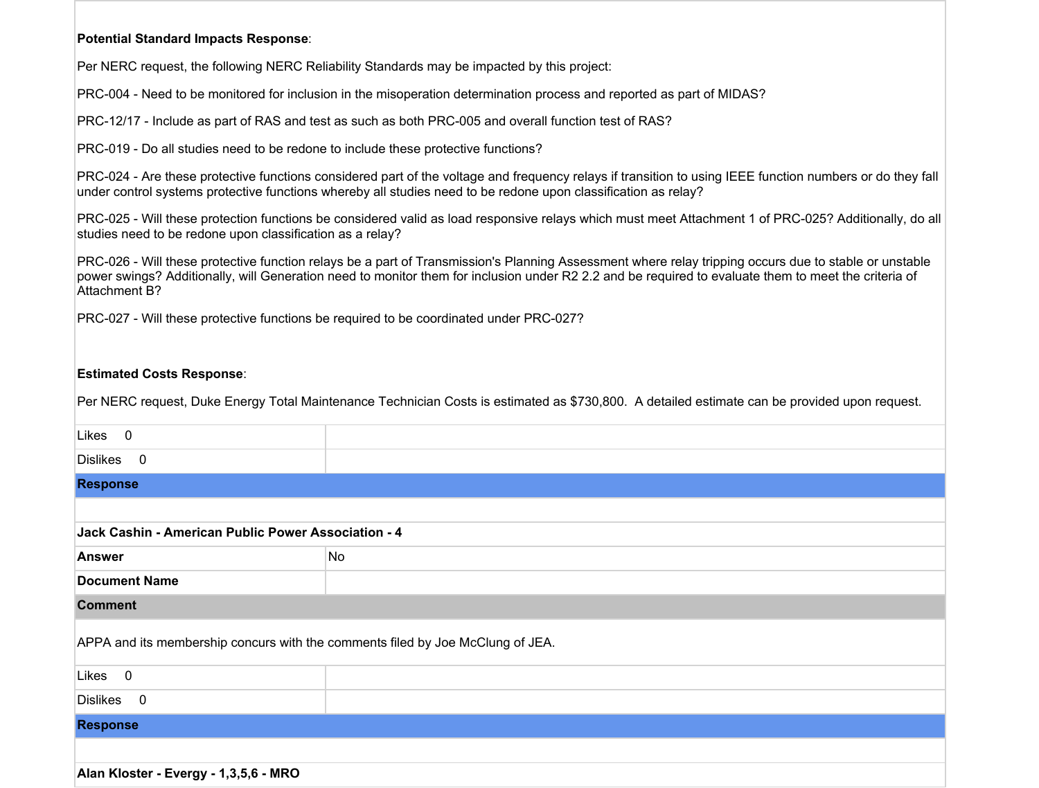### **Potential Standard Impacts Response**:

Per NERC request, the following NERC Reliability Standards may be impacted by this project:

PRC-004 - Need to be monitored for inclusion in the misoperation determination process and reported as part of MIDAS?

PRC-12/17 - Include as part of RAS and test as such as both PRC-005 and overall function test of RAS?

PRC-019 - Do all studies need to be redone to include these protective functions?

PRC-024 - Are these protective functions considered part of the voltage and frequency relays if transition to using IEEE function numbers or do they fall under control systems protective functions whereby all studies need to be redone upon classification as relay?

PRC-025 - Will these protection functions be considered valid as load responsive relays which must meet Attachment 1 of PRC-025? Additionally, do all studies need to be redone upon classification as a relay?

PRC-026 - Will these protective function relays be a part of Transmission's Planning Assessment where relay tripping occurs due to stable or unstable power swings? Additionally, will Generation need to monitor them for inclusion under R2 2.2 and be required to evaluate them to meet the criteria of Attachment B?

PRC-027 - Will these protective functions be required to be coordinated under PRC-027?

#### **Estimated Costs Response**:

Per NERC request, Duke Energy Total Maintenance Technician Costs is estimated as \$730,800. A detailed estimate can be provided upon request.

| Likes 0                                                                        |    |  |
|--------------------------------------------------------------------------------|----|--|
| Dislikes 0                                                                     |    |  |
| <b>Response</b>                                                                |    |  |
|                                                                                |    |  |
| Jack Cashin - American Public Power Association - 4                            |    |  |
| <b>Answer</b>                                                                  | No |  |
| <b>Document Name</b>                                                           |    |  |
| <b>Comment</b>                                                                 |    |  |
| APPA and its membership concurs with the comments filed by Joe McClung of JEA. |    |  |
| Likes 0                                                                        |    |  |
| Dislikes 0                                                                     |    |  |
| <b>Response</b>                                                                |    |  |
|                                                                                |    |  |
| Alan Kloster - Evergy - 1,3,5,6 - MRO                                          |    |  |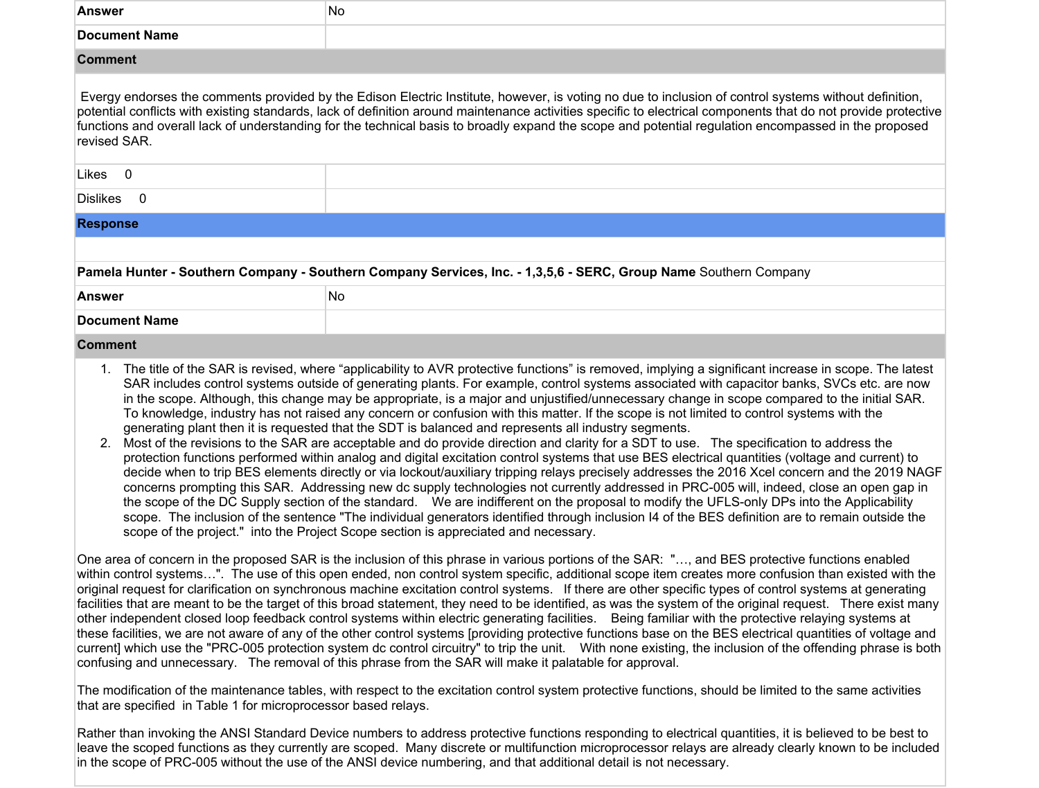| <b>Answer</b>          | No                                                                                                                                                                                                                                                                                                                                                                                                                                                                              |
|------------------------|---------------------------------------------------------------------------------------------------------------------------------------------------------------------------------------------------------------------------------------------------------------------------------------------------------------------------------------------------------------------------------------------------------------------------------------------------------------------------------|
| <b>Document Name</b>   |                                                                                                                                                                                                                                                                                                                                                                                                                                                                                 |
| <b>Comment</b>         |                                                                                                                                                                                                                                                                                                                                                                                                                                                                                 |
| revised SAR.           | Evergy endorses the comments provided by the Edison Electric Institute, however, is voting no due to inclusion of control systems without definition,<br>potential conflicts with existing standards, lack of definition around maintenance activities specific to electrical components that do not provide protective<br>functions and overall lack of understanding for the technical basis to broadly expand the scope and potential regulation encompassed in the proposed |
| Likes<br>- 0           |                                                                                                                                                                                                                                                                                                                                                                                                                                                                                 |
| <b>Dislikes</b><br>- 0 |                                                                                                                                                                                                                                                                                                                                                                                                                                                                                 |
| <b>Response</b>        |                                                                                                                                                                                                                                                                                                                                                                                                                                                                                 |
|                        |                                                                                                                                                                                                                                                                                                                                                                                                                                                                                 |
|                        | Pamela Hunter - Southern Company - Southern Company Services, Inc. - 1,3,5,6 - SERC, Group Name Southern Company                                                                                                                                                                                                                                                                                                                                                                |
| <b>Answer</b>          | N <sub>o</sub>                                                                                                                                                                                                                                                                                                                                                                                                                                                                  |
| <b>Document Name</b>   |                                                                                                                                                                                                                                                                                                                                                                                                                                                                                 |
| <b>Comment</b>         |                                                                                                                                                                                                                                                                                                                                                                                                                                                                                 |

- 1. The title of the SAR is revised, where "applicability to AVR protective functions" is removed, implying a significant increase in scope. The latest SAR includes control systems outside of generating plants. For example, control systems associated with capacitor banks, SVCs etc. are now in the scope. Although, this change may be appropriate, is a major and unjustified/unnecessary change in scope compared to the initial SAR. To knowledge, industry has not raised any concern or confusion with this matter. If the scope is not limited to control systems with the generating plant then it is requested that the SDT is balanced and represents all industry segments.
- 2. Most of the revisions to the SAR are acceptable and do provide direction and clarity for a SDT to use. The specification to address the protection functions performed within analog and digital excitation control systems that use BES electrical quantities (voltage and current) to decide when to trip BES elements directly or via lockout/auxiliary tripping relays precisely addresses the 2016 Xcel concern and the 2019 NAGF concerns prompting this SAR. Addressing new dc supply technologies not currently addressed in PRC-005 will, indeed, close an open gap in the scope of the DC Supply section of the standard. We are indifferent on the proposal to modify the UFLS-only DPs into the Applicability scope. The inclusion of the sentence "The individual generators identified through inclusion I4 of the BES definition are to remain outside the scope of the project." into the Project Scope section is appreciated and necessary.

One area of concern in the proposed SAR is the inclusion of this phrase in various portions of the SAR: "…, and BES protective functions enabled within control systems…". The use of this open ended, non control system specific, additional scope item creates more confusion than existed with the original request for clarification on synchronous machine excitation control systems. If there are other specific types of control systems at generating facilities that are meant to be the target of this broad statement, they need to be identified, as was the system of the original request. There exist many other independent closed loop feedback control systems within electric generating facilities. Being familiar with the protective relaying systems at these facilities, we are not aware of any of the other control systems [providing protective functions base on the BES electrical quantities of voltage and current] which use the "PRC-005 protection system dc control circuitry" to trip the unit. With none existing, the inclusion of the offending phrase is both confusing and unnecessary. The removal of this phrase from the SAR will make it palatable for approval.

The modification of the maintenance tables, with respect to the excitation control system protective functions, should be limited to the same activities that are specified in Table 1 for microprocessor based relays.

Rather than invoking the ANSI Standard Device numbers to address protective functions responding to electrical quantities, it is believed to be best to leave the scoped functions as they currently are scoped. Many discrete or multifunction microprocessor relays are already clearly known to be included in the scope of PRC-005 without the use of the ANSI device numbering, and that additional detail is not necessary.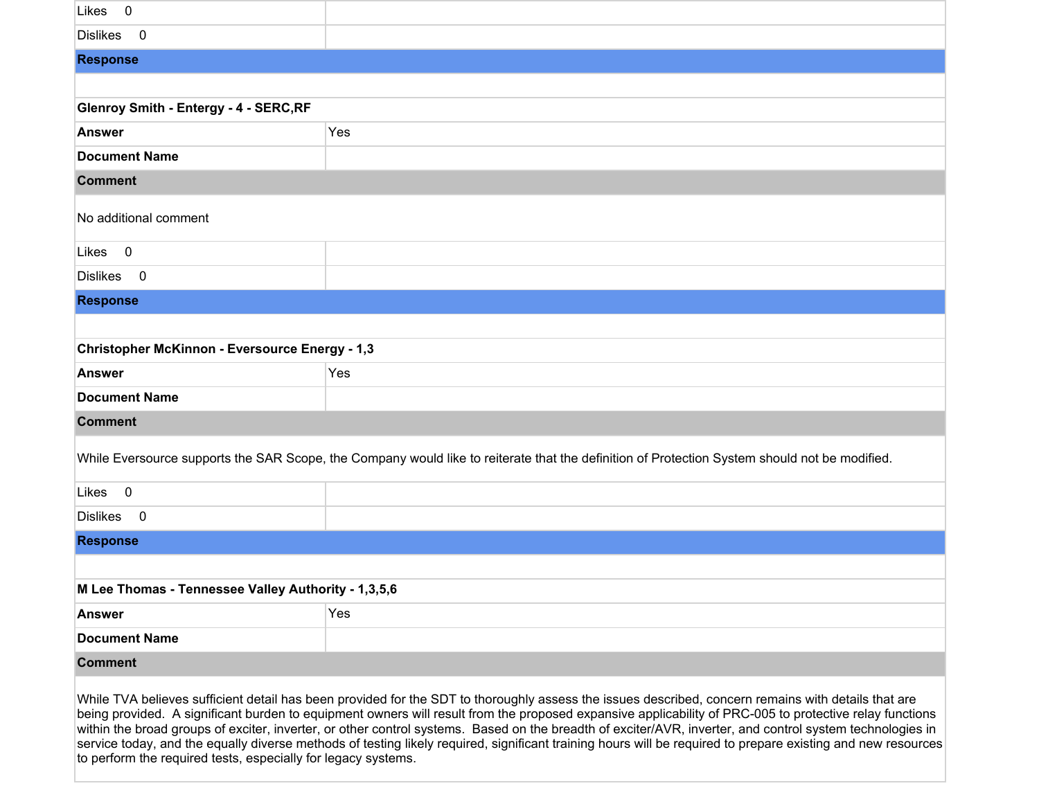| $\overline{\phantom{0}}$<br>Likes                                                                                                                                                                                                                                                                                                                                                                                                                                                                                                                                                                                                                                                                            |                                                                                                                                               |  |
|--------------------------------------------------------------------------------------------------------------------------------------------------------------------------------------------------------------------------------------------------------------------------------------------------------------------------------------------------------------------------------------------------------------------------------------------------------------------------------------------------------------------------------------------------------------------------------------------------------------------------------------------------------------------------------------------------------------|-----------------------------------------------------------------------------------------------------------------------------------------------|--|
| <b>Dislikes</b><br>$\overline{0}$                                                                                                                                                                                                                                                                                                                                                                                                                                                                                                                                                                                                                                                                            |                                                                                                                                               |  |
| <b>Response</b>                                                                                                                                                                                                                                                                                                                                                                                                                                                                                                                                                                                                                                                                                              |                                                                                                                                               |  |
|                                                                                                                                                                                                                                                                                                                                                                                                                                                                                                                                                                                                                                                                                                              |                                                                                                                                               |  |
| <b>Glenroy Smith - Entergy - 4 - SERC, RF</b>                                                                                                                                                                                                                                                                                                                                                                                                                                                                                                                                                                                                                                                                |                                                                                                                                               |  |
| <b>Answer</b>                                                                                                                                                                                                                                                                                                                                                                                                                                                                                                                                                                                                                                                                                                | Yes                                                                                                                                           |  |
| <b>Document Name</b>                                                                                                                                                                                                                                                                                                                                                                                                                                                                                                                                                                                                                                                                                         |                                                                                                                                               |  |
| <b>Comment</b>                                                                                                                                                                                                                                                                                                                                                                                                                                                                                                                                                                                                                                                                                               |                                                                                                                                               |  |
| No additional comment                                                                                                                                                                                                                                                                                                                                                                                                                                                                                                                                                                                                                                                                                        |                                                                                                                                               |  |
| Likes 0                                                                                                                                                                                                                                                                                                                                                                                                                                                                                                                                                                                                                                                                                                      |                                                                                                                                               |  |
| Dislikes 0                                                                                                                                                                                                                                                                                                                                                                                                                                                                                                                                                                                                                                                                                                   |                                                                                                                                               |  |
| <b>Response</b>                                                                                                                                                                                                                                                                                                                                                                                                                                                                                                                                                                                                                                                                                              |                                                                                                                                               |  |
|                                                                                                                                                                                                                                                                                                                                                                                                                                                                                                                                                                                                                                                                                                              |                                                                                                                                               |  |
| <b>Christopher McKinnon - Eversource Energy - 1,3</b>                                                                                                                                                                                                                                                                                                                                                                                                                                                                                                                                                                                                                                                        |                                                                                                                                               |  |
| <b>Answer</b>                                                                                                                                                                                                                                                                                                                                                                                                                                                                                                                                                                                                                                                                                                | Yes                                                                                                                                           |  |
| <b>Document Name</b>                                                                                                                                                                                                                                                                                                                                                                                                                                                                                                                                                                                                                                                                                         |                                                                                                                                               |  |
| <b>Comment</b>                                                                                                                                                                                                                                                                                                                                                                                                                                                                                                                                                                                                                                                                                               |                                                                                                                                               |  |
|                                                                                                                                                                                                                                                                                                                                                                                                                                                                                                                                                                                                                                                                                                              | While Eversource supports the SAR Scope, the Company would like to reiterate that the definition of Protection System should not be modified. |  |
| $\overline{\phantom{0}}$<br>Likes                                                                                                                                                                                                                                                                                                                                                                                                                                                                                                                                                                                                                                                                            |                                                                                                                                               |  |
| <b>Dislikes</b><br>$\overline{0}$                                                                                                                                                                                                                                                                                                                                                                                                                                                                                                                                                                                                                                                                            |                                                                                                                                               |  |
| <b>Response</b>                                                                                                                                                                                                                                                                                                                                                                                                                                                                                                                                                                                                                                                                                              |                                                                                                                                               |  |
|                                                                                                                                                                                                                                                                                                                                                                                                                                                                                                                                                                                                                                                                                                              |                                                                                                                                               |  |
| M Lee Thomas - Tennessee Valley Authority - 1,3,5,6                                                                                                                                                                                                                                                                                                                                                                                                                                                                                                                                                                                                                                                          |                                                                                                                                               |  |
| <b>Answer</b>                                                                                                                                                                                                                                                                                                                                                                                                                                                                                                                                                                                                                                                                                                | Yes                                                                                                                                           |  |
| <b>Document Name</b>                                                                                                                                                                                                                                                                                                                                                                                                                                                                                                                                                                                                                                                                                         |                                                                                                                                               |  |
| <b>Comment</b>                                                                                                                                                                                                                                                                                                                                                                                                                                                                                                                                                                                                                                                                                               |                                                                                                                                               |  |
| While TVA believes sufficient detail has been provided for the SDT to thoroughly assess the issues described, concern remains with details that are<br>being provided. A significant burden to equipment owners will result from the proposed expansive applicability of PRC-005 to protective relay functions<br>within the broad groups of exciter, inverter, or other control systems. Based on the breadth of exciter/AVR, inverter, and control system technologies in<br>service today, and the equally diverse methods of testing likely required, significant training hours will be required to prepare existing and new resources<br>to perform the required tests, especially for legacy systems. |                                                                                                                                               |  |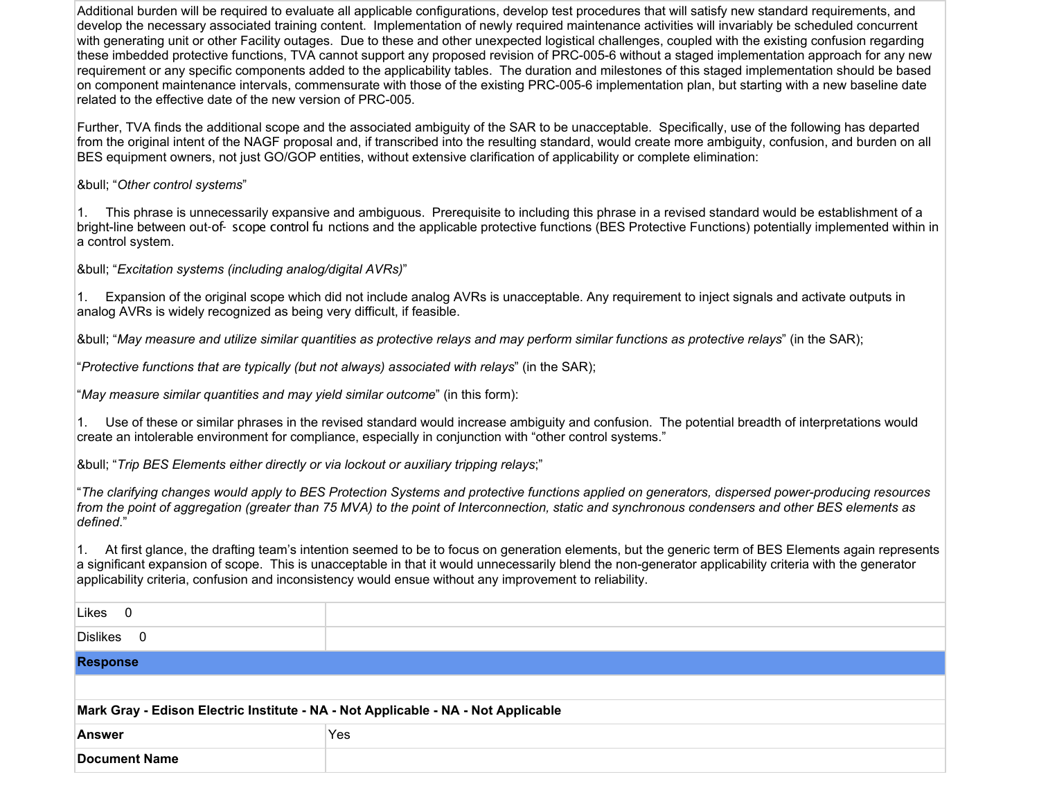Additional burden will be required to evaluate all applicable configurations, develop test procedures that will satisfy new standard requirements, and develop the necessary associated training content. Implementation of newly required maintenance activities will invariably be scheduled concurrent with generating unit or other Facility outages. Due to these and other unexpected logistical challenges, coupled with the existing confusion regarding these imbedded protective functions, TVA cannot support any proposed revision of PRC-005-6 without a staged implementation approach for any new requirement or any specific components added to the applicability tables. The duration and milestones of this staged implementation should be based on component maintenance intervals, commensurate with those of the existing PRC-005-6 implementation plan, but starting with a new baseline date related to the effective date of the new version of PRC-005.

Further, TVA finds the additional scope and the associated ambiguity of the SAR to be unacceptable. Specifically, use of the following has departed from the original intent of the NAGF proposal and, if transcribed into the resulting standard, would create more ambiguity, confusion, and burden on all BES equipment owners, not just GO/GOP entities, without extensive clarification of applicability or complete elimination:

• "*Other control systems*"

1. This phrase is unnecessarily expansive and ambiguous. Prerequisite to including this phrase in a revised standard would be establishment of a bright-line between out‑of‑ scope control fu nctions and the applicable protective functions (BES Protective Functions) potentially implemented within in a control system.

• "*Excitation systems (including analog/digital AVRs)*"

1. Expansion of the original scope which did not include analog AVRs is unacceptable. Any requirement to inject signals and activate outputs in analog AVRs is widely recognized as being very difficult, if feasible.

• "*May measure and utilize similar quantities as protective relays and may perform similar functions as protective relays*" (in the SAR);

"*Protective functions that are typically (but not always) associated with relays*" (in the SAR);

"*May measure similar quantities and may yield similar outcome*" (in this form):

1. Use of these or similar phrases in the revised standard would increase ambiguity and confusion. The potential breadth of interpretations would create an intolerable environment for compliance, especially in conjunction with "other control systems."

• "*Trip BES Elements either directly or via lockout or auxiliary tripping relays*;"

"*The clarifying changes would apply to BES Protection Systems and protective functions applied on generators, dispersed power-producing resources from the point of aggregation (greater than 75 MVA) to the point of Interconnection, static and synchronous condensers and other BES elements as defined*."

1. At first glance, the drafting team's intention seemed to be to focus on generation elements, but the generic term of BES Elements again represents a significant expansion of scope. This is unacceptable in that it would unnecessarily blend the non-generator applicability criteria with the generator applicability criteria, confusion and inconsistency would ensue without any improvement to reliability.

| Likes 0                                                                           |     |  |
|-----------------------------------------------------------------------------------|-----|--|
| Dislikes 0                                                                        |     |  |
| <b>Response</b>                                                                   |     |  |
|                                                                                   |     |  |
| Mark Gray - Edison Electric Institute - NA - Not Applicable - NA - Not Applicable |     |  |
| Answer                                                                            | Yes |  |
| <b>Document Name</b>                                                              |     |  |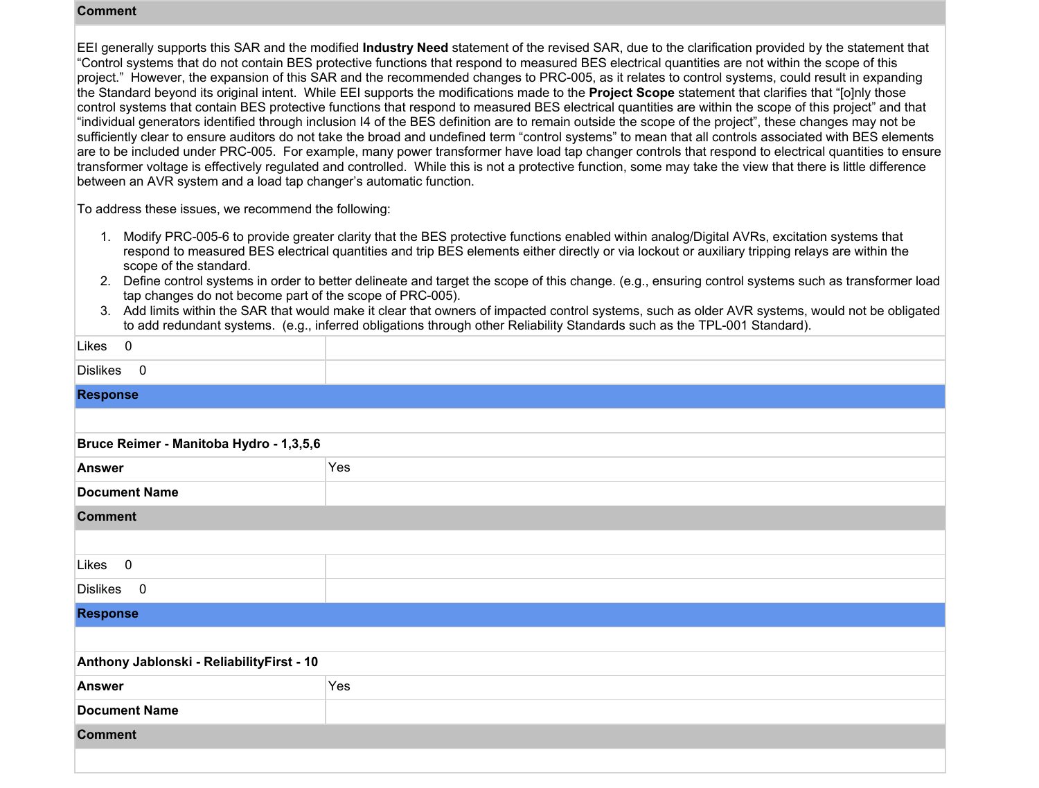#### **Comment**

EEI generally supports this SAR and the modified **Industry Need** statement of the revised SAR, due to the clarification provided by the statement that "Control systems that do not contain BES protective functions that respond to measured BES electrical quantities are not within the scope of this project." However, the expansion of this SAR and the recommended changes to PRC-005, as it relates to control systems, could result in expanding the Standard beyond its original intent. While EEI supports the modifications made to the **Project Scope** statement that clarifies that "[o]nly those control systems that contain BES protective functions that respond to measured BES electrical quantities are within the scope of this project" and that "individual generators identified through inclusion I4 of the BES definition are to remain outside the scope of the project", these changes may not be sufficiently clear to ensure auditors do not take the broad and undefined term "control systems" to mean that all controls associated with BES elements are to be included under PRC-005. For example, many power transformer have load tap changer controls that respond to electrical quantities to ensure transformer voltage is effectively regulated and controlled. While this is not a protective function, some may take the view that there is little difference between an AVR system and a load tap changer's automatic function.

To address these issues, we recommend the following:

- 1. Modify PRC-005-6 to provide greater clarity that the BES protective functions enabled within analog/Digital AVRs, excitation systems that respond to measured BES electrical quantities and trip BES elements either directly or via lockout or auxiliary tripping relays are within the scope of the standard.
- 2. Define control systems in order to better delineate and target the scope of this change. (e.g., ensuring control systems such as transformer load tap changes do not become part of the scope of PRC-005).
- 3. Add limits within the SAR that would make it clear that owners of impacted control systems, such as older AVR systems, would not be obligated to add redundant systems. (e.g., inferred obligations through other Reliability Standards such as the TPL-001 Standard).

| Likes<br>$\overline{\phantom{0}}$          |     |
|--------------------------------------------|-----|
| <b>Dislikes</b><br>$\overline{\mathbf{0}}$ |     |
| <b>Response</b>                            |     |
|                                            |     |
| Bruce Reimer - Manitoba Hydro - 1,3,5,6    |     |
| <b>Answer</b>                              | Yes |
| <b>Document Name</b>                       |     |
| <b>Comment</b>                             |     |
|                                            |     |
| Likes 0                                    |     |
| Dislikes 0                                 |     |
| <b>Response</b>                            |     |
|                                            |     |
| Anthony Jablonski - ReliabilityFirst - 10  |     |
| <b>Answer</b>                              | Yes |
| <b>Document Name</b>                       |     |
| <b>Comment</b>                             |     |
|                                            |     |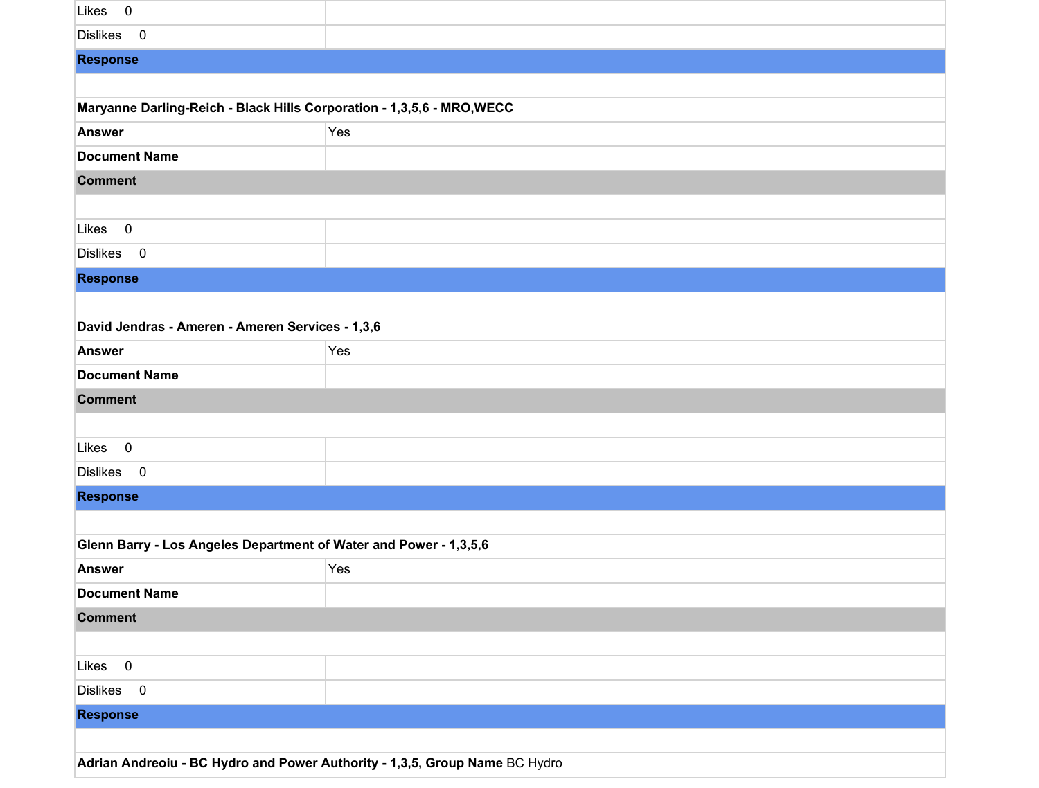| $\overline{0}$<br>Likes                                                     |     |  |
|-----------------------------------------------------------------------------|-----|--|
| <b>Dislikes</b><br>$\overline{\mathbf{0}}$                                  |     |  |
| <b>Response</b>                                                             |     |  |
|                                                                             |     |  |
| Maryanne Darling-Reich - Black Hills Corporation - 1,3,5,6 - MRO, WECC      |     |  |
| <b>Answer</b>                                                               | Yes |  |
| <b>Document Name</b>                                                        |     |  |
| <b>Comment</b>                                                              |     |  |
|                                                                             |     |  |
| $\overline{\mathbf{0}}$<br>Likes                                            |     |  |
| Dislikes 0                                                                  |     |  |
| <b>Response</b>                                                             |     |  |
|                                                                             |     |  |
| David Jendras - Ameren - Ameren Services - 1,3,6                            |     |  |
| <b>Answer</b>                                                               | Yes |  |
| <b>Document Name</b>                                                        |     |  |
| <b>Comment</b>                                                              |     |  |
|                                                                             |     |  |
| $\overline{\mathbf{0}}$<br>Likes                                            |     |  |
| <b>Dislikes</b><br>$\overline{\phantom{0}}$                                 |     |  |
| <b>Response</b>                                                             |     |  |
|                                                                             |     |  |
| Glenn Barry - Los Angeles Department of Water and Power - 1,3,5,6           |     |  |
| <b>Answer</b>                                                               | Yes |  |
| <b>Document Name</b>                                                        |     |  |
| <b>Comment</b>                                                              |     |  |
|                                                                             |     |  |
| Likes 0                                                                     |     |  |
| Dislikes 0                                                                  |     |  |
| <b>Response</b>                                                             |     |  |
|                                                                             |     |  |
| Adrian Andreoiu - BC Hydro and Power Authority - 1,3,5, Group Name BC Hydro |     |  |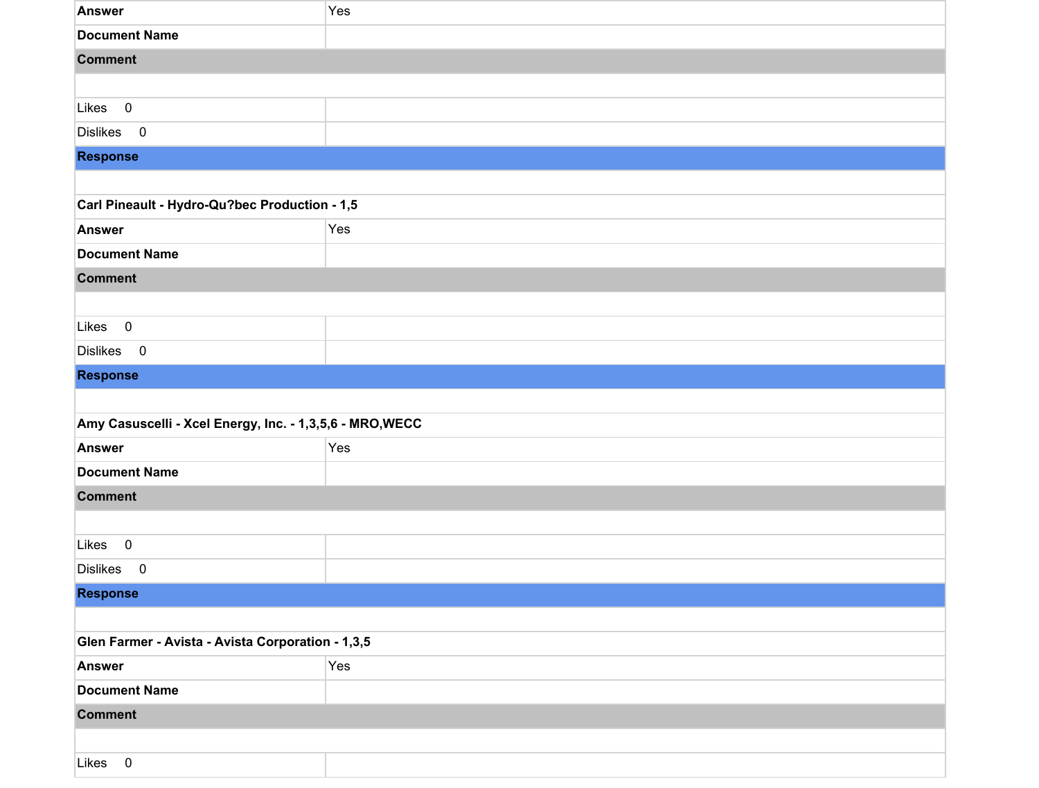| <b>Answer</b>                                            | Yes |  |
|----------------------------------------------------------|-----|--|
| <b>Document Name</b>                                     |     |  |
| <b>Comment</b>                                           |     |  |
|                                                          |     |  |
| Likes 0                                                  |     |  |
| Dislikes 0                                               |     |  |
| <b>Response</b>                                          |     |  |
|                                                          |     |  |
| Carl Pineault - Hydro-Qu?bec Production - 1,5            |     |  |
| <b>Answer</b>                                            | Yes |  |
| <b>Document Name</b>                                     |     |  |
| <b>Comment</b>                                           |     |  |
|                                                          |     |  |
| Likes 0                                                  |     |  |
| Dislikes 0                                               |     |  |
| <b>Response</b>                                          |     |  |
|                                                          |     |  |
| Amy Casuscelli - Xcel Energy, Inc. - 1,3,5,6 - MRO, WECC |     |  |
| <b>Answer</b>                                            | Yes |  |
| <b>Document Name</b>                                     |     |  |
| <b>Comment</b>                                           |     |  |
|                                                          |     |  |
| $\overline{\mathbf{0}}$<br>Likes                         |     |  |
| Dislikes 0                                               |     |  |
| <b>Response</b>                                          |     |  |
|                                                          |     |  |
| Glen Farmer - Avista - Avista Corporation - 1,3,5        |     |  |
| <b>Answer</b>                                            | Yes |  |
| <b>Document Name</b>                                     |     |  |
| <b>Comment</b>                                           |     |  |
|                                                          |     |  |
| Likes 0                                                  |     |  |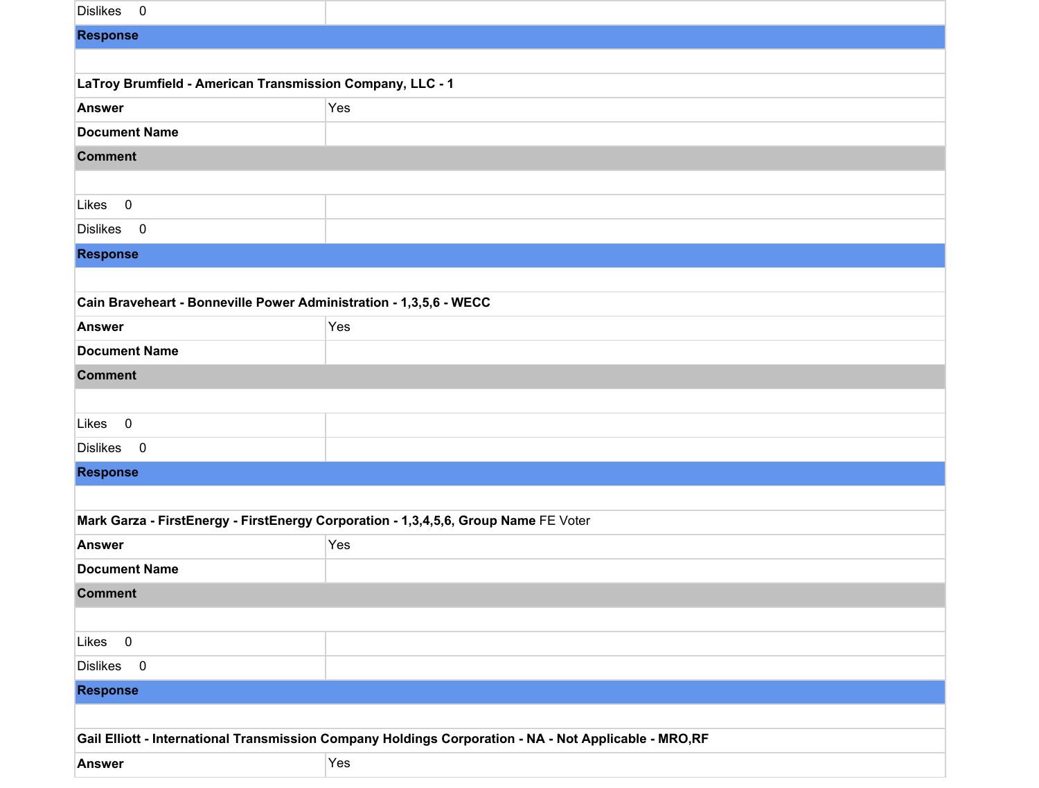| <b>Dislikes</b><br>$\overline{\mathbf{0}}$                                                            |                                                                                     |  |
|-------------------------------------------------------------------------------------------------------|-------------------------------------------------------------------------------------|--|
| <b>Response</b>                                                                                       |                                                                                     |  |
|                                                                                                       |                                                                                     |  |
| LaTroy Brumfield - American Transmission Company, LLC - 1                                             |                                                                                     |  |
| <b>Answer</b>                                                                                         | Yes                                                                                 |  |
| <b>Document Name</b>                                                                                  |                                                                                     |  |
| <b>Comment</b>                                                                                        |                                                                                     |  |
|                                                                                                       |                                                                                     |  |
| $\overline{\mathbf{0}}$<br>Likes                                                                      |                                                                                     |  |
| <b>Dislikes</b><br>$\overline{\phantom{0}}$                                                           |                                                                                     |  |
| <b>Response</b>                                                                                       |                                                                                     |  |
|                                                                                                       |                                                                                     |  |
| Cain Braveheart - Bonneville Power Administration - 1,3,5,6 - WECC                                    |                                                                                     |  |
| <b>Answer</b>                                                                                         | Yes                                                                                 |  |
| <b>Document Name</b>                                                                                  |                                                                                     |  |
| <b>Comment</b>                                                                                        |                                                                                     |  |
|                                                                                                       |                                                                                     |  |
| $\overline{\mathbf{0}}$<br>Likes                                                                      |                                                                                     |  |
| <b>Dislikes</b><br>$\overline{\phantom{0}}$                                                           |                                                                                     |  |
| <b>Response</b>                                                                                       |                                                                                     |  |
|                                                                                                       |                                                                                     |  |
|                                                                                                       | Mark Garza - FirstEnergy - FirstEnergy Corporation - 1,3,4,5,6, Group Name FE Voter |  |
| <b>Answer</b>                                                                                         | Yes                                                                                 |  |
| <b>Document Name</b>                                                                                  |                                                                                     |  |
| <b>Comment</b>                                                                                        |                                                                                     |  |
|                                                                                                       |                                                                                     |  |
| Likes 0                                                                                               |                                                                                     |  |
| $\overline{\mathbf{0}}$<br><b>Dislikes</b>                                                            |                                                                                     |  |
| <b>Response</b>                                                                                       |                                                                                     |  |
|                                                                                                       |                                                                                     |  |
| Gail Elliott - International Transmission Company Holdings Corporation - NA - Not Applicable - MRO,RF |                                                                                     |  |
| <b>Answer</b>                                                                                         | Yes                                                                                 |  |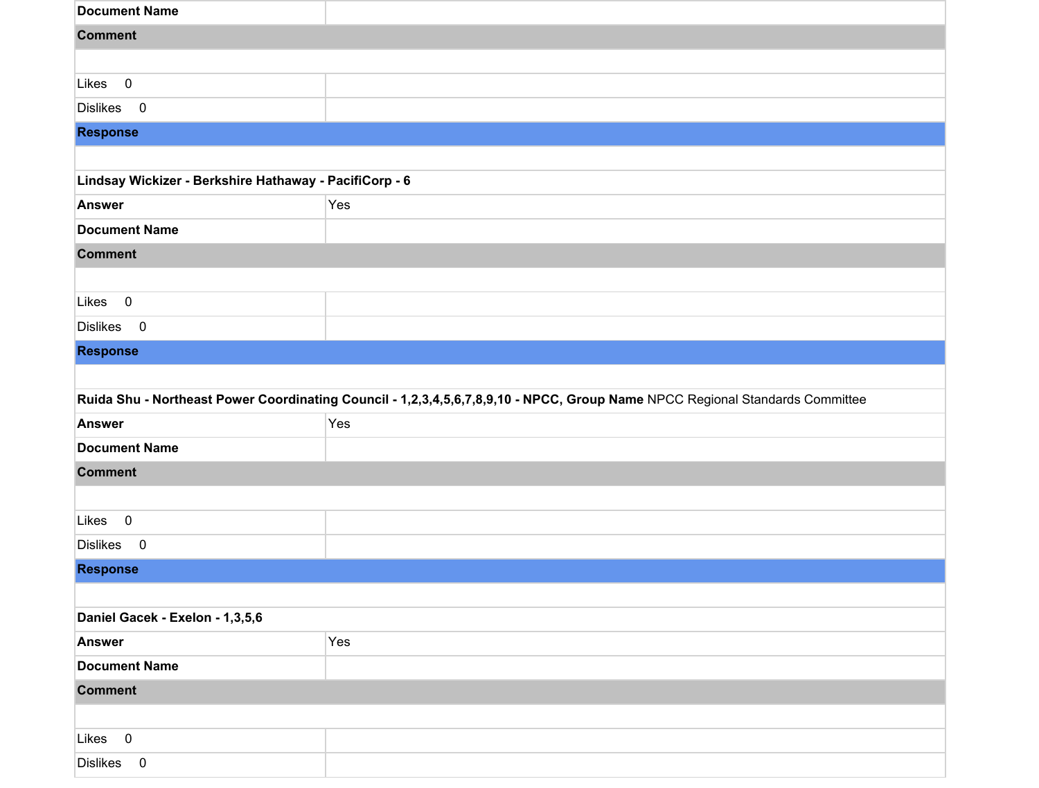| <b>Document Name</b>                                                                                                         |     |  |
|------------------------------------------------------------------------------------------------------------------------------|-----|--|
| <b>Comment</b>                                                                                                               |     |  |
|                                                                                                                              |     |  |
| Likes 0                                                                                                                      |     |  |
| Dislikes 0                                                                                                                   |     |  |
| <b>Response</b>                                                                                                              |     |  |
|                                                                                                                              |     |  |
| Lindsay Wickizer - Berkshire Hathaway - PacifiCorp - 6                                                                       |     |  |
| <b>Answer</b>                                                                                                                | Yes |  |
| <b>Document Name</b>                                                                                                         |     |  |
| <b>Comment</b>                                                                                                               |     |  |
|                                                                                                                              |     |  |
| $\overline{\mathbf{0}}$<br>Likes                                                                                             |     |  |
| <b>Dislikes</b><br>$\overline{\phantom{0}}$                                                                                  |     |  |
| <b>Response</b>                                                                                                              |     |  |
|                                                                                                                              |     |  |
| Ruida Shu - Northeast Power Coordinating Council - 1,2,3,4,5,6,7,8,9,10 - NPCC, Group Name NPCC Regional Standards Committee |     |  |
| <b>Answer</b>                                                                                                                | Yes |  |
| <b>Document Name</b>                                                                                                         |     |  |
| <b>Comment</b>                                                                                                               |     |  |
|                                                                                                                              |     |  |
| $\overline{0}$<br>Likes                                                                                                      |     |  |
| <b>Dislikes</b><br>$\overline{\mathbf{0}}$                                                                                   |     |  |
| <b>Response</b>                                                                                                              |     |  |
|                                                                                                                              |     |  |
| Daniel Gacek - Exelon - 1,3,5,6                                                                                              |     |  |
| <b>Answer</b>                                                                                                                | Yes |  |
| <b>Document Name</b>                                                                                                         |     |  |
| <b>Comment</b>                                                                                                               |     |  |
|                                                                                                                              |     |  |
| Likes 0                                                                                                                      |     |  |
| <b>Dislikes</b><br>$\overline{\mathbf{0}}$                                                                                   |     |  |